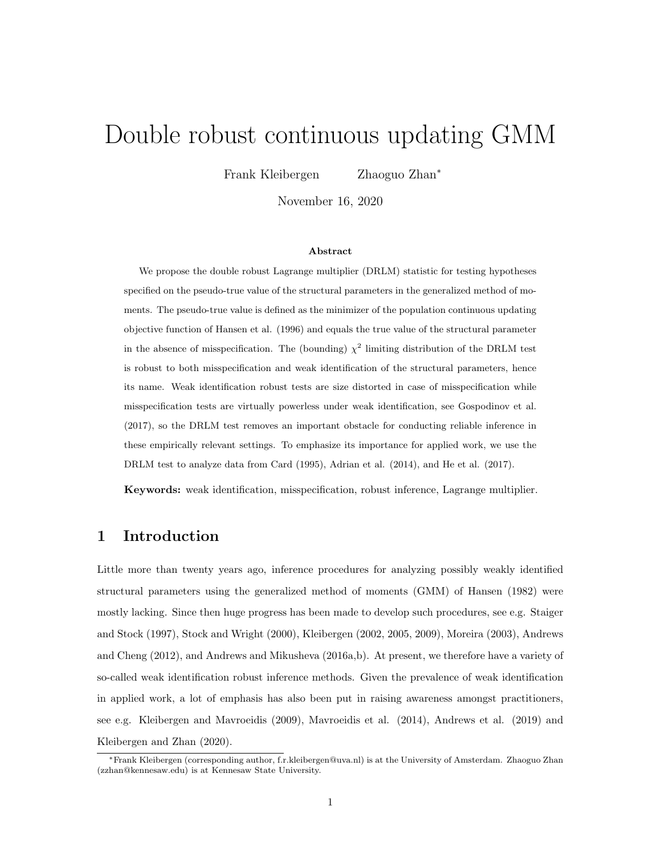# Double robust continuous updating GMM

Frank Kleibergen Zhaoguo Zhan<sup>∗</sup>

November 16, 2020

#### Abstract

We propose the double robust Lagrange multiplier (DRLM) statistic for testing hypotheses specified on the pseudo-true value of the structural parameters in the generalized method of moments. The pseudo-true value is defined as the minimizer of the population continuous updating objective function of Hansen et al. (1996) and equals the true value of the structural parameter in the absence of misspecification. The (bounding)  $\chi^2$  limiting distribution of the DRLM test is robust to both misspecification and weak identification of the structural parameters, hence its name. Weak identification robust tests are size distorted in case of misspecification while misspecification tests are virtually powerless under weak identification, see Gospodinov et al. (2017), so the DRLM test removes an important obstacle for conducting reliable inference in these empirically relevant settings. To emphasize its importance for applied work, we use the DRLM test to analyze data from Card (1995), Adrian et al. (2014), and He et al. (2017).

Keywords: weak identification, misspecification, robust inference, Lagrange multiplier.

### 1 Introduction

Little more than twenty years ago, inference procedures for analyzing possibly weakly identified structural parameters using the generalized method of moments (GMM) of Hansen (1982) were mostly lacking. Since then huge progress has been made to develop such procedures, see e.g. Staiger and Stock (1997), Stock and Wright (2000), Kleibergen (2002, 2005, 2009), Moreira (2003), Andrews and Cheng (2012), and Andrews and Mikusheva (2016a,b). At present, we therefore have a variety of so-called weak identification robust inference methods. Given the prevalence of weak identification in applied work, a lot of emphasis has also been put in raising awareness amongst practitioners, see e.g. Kleibergen and Mavroeidis (2009), Mavroeidis et al. (2014), Andrews et al. (2019) and Kleibergen and Zhan (2020).

<sup>∗</sup>Frank Kleibergen (corresponding author, f.r.kleibergen@uva.nl) is at the University of Amsterdam. Zhaoguo Zhan (zzhan@kennesaw.edu) is at Kennesaw State University.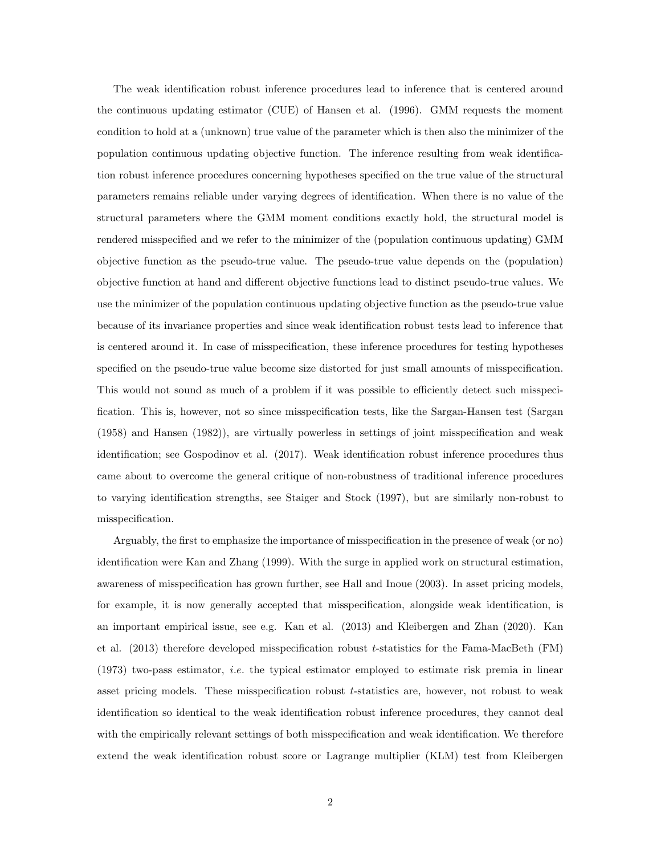The weak identification robust inference procedures lead to inference that is centered around the continuous updating estimator (CUE) of Hansen et al. (1996). GMM requests the moment condition to hold at a (unknown) true value of the parameter which is then also the minimizer of the population continuous updating objective function. The inference resulting from weak identification robust inference procedures concerning hypotheses specified on the true value of the structural parameters remains reliable under varying degrees of identification. When there is no value of the structural parameters where the GMM moment conditions exactly hold, the structural model is rendered misspecified and we refer to the minimizer of the (population continuous updating) GMM objective function as the pseudo-true value. The pseudo-true value depends on the (population) objective function at hand and different objective functions lead to distinct pseudo-true values. We use the minimizer of the population continuous updating objective function as the pseudo-true value because of its invariance properties and since weak identification robust tests lead to inference that is centered around it. In case of misspecification, these inference procedures for testing hypotheses specified on the pseudo-true value become size distorted for just small amounts of misspecification. This would not sound as much of a problem if it was possible to efficiently detect such misspecification. This is, however, not so since misspecification tests, like the Sargan-Hansen test (Sargan (1958) and Hansen (1982)), are virtually powerless in settings of joint misspecification and weak identification; see Gospodinov et al. (2017). Weak identification robust inference procedures thus came about to overcome the general critique of non-robustness of traditional inference procedures to varying identification strengths, see Staiger and Stock (1997), but are similarly non-robust to misspecification.

Arguably, the first to emphasize the importance of misspecification in the presence of weak (or no) identification were Kan and Zhang (1999). With the surge in applied work on structural estimation, awareness of misspecification has grown further, see Hall and Inoue (2003). In asset pricing models, for example, it is now generally accepted that misspecification, alongside weak identification, is an important empirical issue, see e.g. Kan et al. (2013) and Kleibergen and Zhan (2020). Kan et al. (2013) therefore developed misspecification robust t-statistics for the Fama-MacBeth (FM)  $(1973)$  two-pass estimator, *i.e.* the typical estimator employed to estimate risk premia in linear asset pricing models. These misspecification robust t-statistics are, however, not robust to weak identification so identical to the weak identification robust inference procedures, they cannot deal with the empirically relevant settings of both misspecification and weak identification. We therefore extend the weak identification robust score or Lagrange multiplier (KLM) test from Kleibergen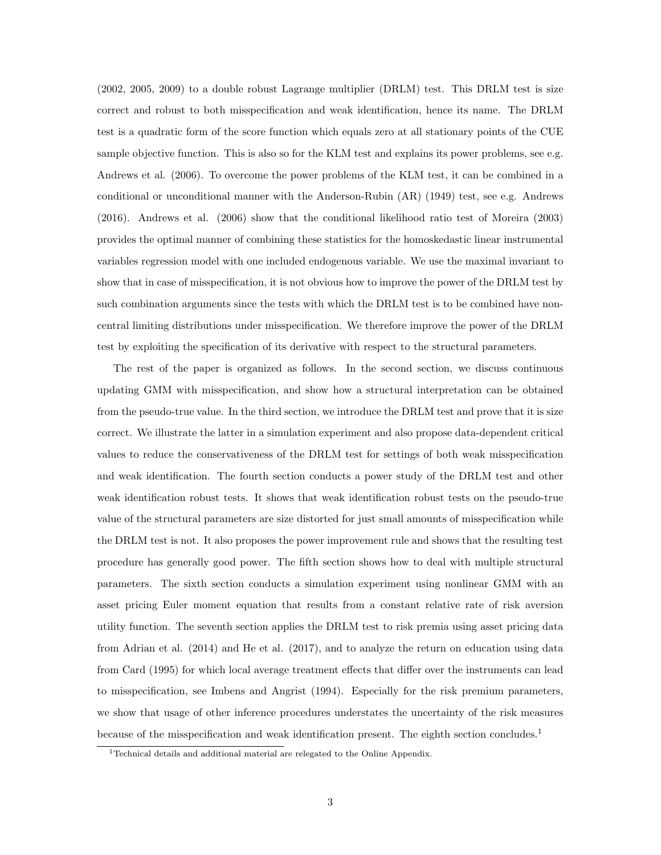(2002, 2005, 2009) to a double robust Lagrange multiplier (DRLM) test. This DRLM test is size correct and robust to both misspecification and weak identification, hence its name. The DRLM test is a quadratic form of the score function which equals zero at all stationary points of the CUE sample objective function. This is also so for the KLM test and explains its power problems, see e.g. Andrews et al. (2006). To overcome the power problems of the KLM test, it can be combined in a conditional or unconditional manner with the Anderson-Rubin (AR) (1949) test, see e.g. Andrews (2016). Andrews et al. (2006) show that the conditional likelihood ratio test of Moreira (2003) provides the optimal manner of combining these statistics for the homoskedastic linear instrumental variables regression model with one included endogenous variable. We use the maximal invariant to show that in case of misspecification, it is not obvious how to improve the power of the DRLM test by such combination arguments since the tests with which the DRLM test is to be combined have noncentral limiting distributions under misspecification. We therefore improve the power of the DRLM test by exploiting the specification of its derivative with respect to the structural parameters.

The rest of the paper is organized as follows. In the second section, we discuss continuous updating GMM with misspecification, and show how a structural interpretation can be obtained from the pseudo-true value. In the third section, we introduce the DRLM test and prove that it is size correct. We illustrate the latter in a simulation experiment and also propose data-dependent critical values to reduce the conservativeness of the DRLM test for settings of both weak misspecification and weak identification. The fourth section conducts a power study of the DRLM test and other weak identification robust tests. It shows that weak identification robust tests on the pseudo-true value of the structural parameters are size distorted for just small amounts of misspecification while the DRLM test is not. It also proposes the power improvement rule and shows that the resulting test procedure has generally good power. The fifth section shows how to deal with multiple structural parameters. The sixth section conducts a simulation experiment using nonlinear GMM with an asset pricing Euler moment equation that results from a constant relative rate of risk aversion utility function. The seventh section applies the DRLM test to risk premia using asset pricing data from Adrian et al. (2014) and He et al. (2017), and to analyze the return on education using data from Card (1995) for which local average treatment effects that differ over the instruments can lead to misspecification, see Imbens and Angrist (1994). Especially for the risk premium parameters, we show that usage of other inference procedures understates the uncertainty of the risk measures because of the misspecification and weak identification present. The eighth section concludes.<sup>1</sup>

<sup>&</sup>lt;sup>1</sup>Technical details and additional material are relegated to the Online Appendix.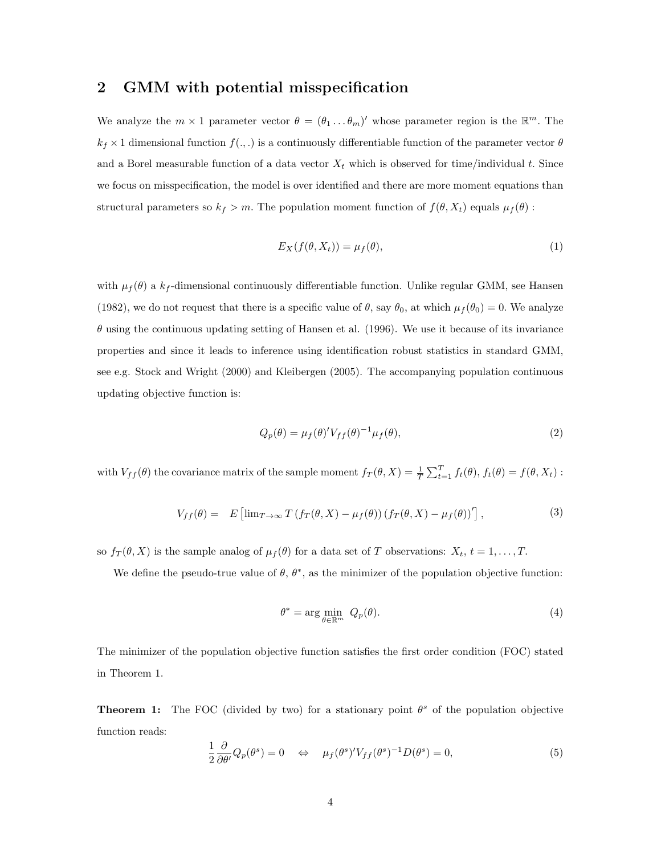### 2 GMM with potential misspecification

We analyze the  $m \times 1$  parameter vector  $\theta = (\theta_1 \dots \theta_m)'$  whose parameter region is the  $\mathbb{R}^m$ . The  $k_f \times 1$  dimensional function  $f(.,.)$  is a continuously differentiable function of the parameter vector  $\theta$ and a Borel measurable function of a data vector  $X_t$  which is observed for time/individual t. Since we focus on misspecification, the model is over identified and there are more moment equations than structural parameters so  $k_f > m$ . The population moment function of  $f(\theta, X_t)$  equals  $\mu_f(\theta)$ :

$$
E_X(f(\theta, X_t)) = \mu_f(\theta),\tag{1}
$$

with  $\mu_f(\theta)$  a  $k_f$ -dimensional continuously differentiable function. Unlike regular GMM, see Hansen (1982), we do not request that there is a specific value of  $\theta$ , say  $\theta_0$ , at which  $\mu_f(\theta_0) = 0$ . We analyze  $\theta$  using the continuous updating setting of Hansen et al. (1996). We use it because of its invariance properties and since it leads to inference using identification robust statistics in standard GMM, see e.g. Stock and Wright (2000) and Kleibergen (2005). The accompanying population continuous updating objective function is:

$$
Q_p(\theta) = \mu_f(\theta)' V_{ff}(\theta)^{-1} \mu_f(\theta), \qquad (2)
$$

with  $V_{ff}(\theta)$  the covariance matrix of the sample moment  $f_T(\theta, X) = \frac{1}{T} \sum_{t=1}^T f_t(\theta), f_t(\theta) = f(\theta, X_t)$ :

$$
V_{ff}(\theta) = E \left[ \lim_{T \to \infty} T \left( f_T(\theta, X) - \mu_f(\theta) \right) \left( f_T(\theta, X) - \mu_f(\theta) \right)' \right],\tag{3}
$$

so  $f_T(\theta, X)$  is the sample analog of  $\mu_f(\theta)$  for a data set of T observations:  $X_t$ ,  $t = 1, \ldots, T$ .

We define the pseudo-true value of  $\theta$ ,  $\theta^*$ , as the minimizer of the population objective function:

$$
\theta^* = \arg\min_{\theta \in \mathbb{R}^m} \ Q_p(\theta). \tag{4}
$$

The minimizer of the population objective function satisfies the first order condition (FOC) stated in Theorem 1.

**Theorem 1:** The FOC (divided by two) for a stationary point  $\theta^s$  of the population objective function reads:

$$
\frac{1}{2}\frac{\partial}{\partial \theta'}Q_p(\theta^s) = 0 \quad \Leftrightarrow \quad \mu_f(\theta^s)'V_{ff}(\theta^s)^{-1}D(\theta^s) = 0,\tag{5}
$$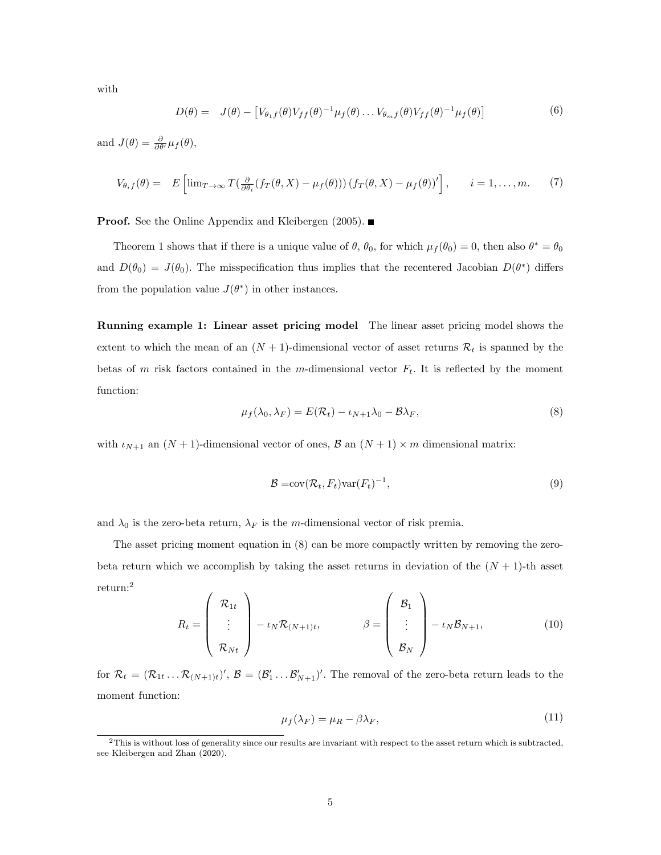with

$$
D(\theta) = J(\theta) - [V_{\theta_1 f}(\theta) V_{ff}(\theta)^{-1} \mu_f(\theta) \dots V_{\theta_m f}(\theta) V_{ff}(\theta)^{-1} \mu_f(\theta)] \tag{6}
$$

and  $J(\theta) = \frac{\partial}{\partial \theta'} \mu_f(\theta),$ 

$$
V_{\theta_i f}(\theta) = E\left[\lim_{T \to \infty} T\left(\frac{\partial}{\partial \theta_i} (f_T(\theta, X) - \mu_f(\theta))\right) (f_T(\theta, X) - \mu_f(\theta))'\right], \qquad i = 1, \dots, m. \tag{7}
$$

**Proof.** See the Online Appendix and Kleibergen (2005).

Theorem 1 shows that if there is a unique value of  $\theta$ ,  $\theta_0$ , for which  $\mu_f(\theta_0) = 0$ , then also  $\theta^* = \theta_0$ and  $D(\theta_0) = J(\theta_0)$ . The misspecification thus implies that the recentered Jacobian  $D(\theta^*)$  differs from the population value  $J(\theta^*)$  in other instances.

Running example 1: Linear asset pricing model The linear asset pricing model shows the extent to which the mean of an  $(N + 1)$ -dimensional vector of asset returns  $\mathcal{R}_t$  is spanned by the betas of m risk factors contained in the m-dimensional vector  $F_t$ . It is reflected by the moment function:

$$
\mu_f(\lambda_0, \lambda_F) = E(\mathcal{R}_t) - \iota_{N+1}\lambda_0 - \mathcal{B}\lambda_F, \tag{8}
$$

with  $\iota_{N+1}$  an  $(N+1)$ -dimensional vector of ones,  $\beta$  an  $(N+1) \times m$  dimensional matrix:

$$
\mathcal{B} = \text{cov}(\mathcal{R}_t, F_t) \text{var}(F_t)^{-1},\tag{9}
$$

and  $\lambda_0$  is the zero-beta return,  $\lambda_F$  is the m-dimensional vector of risk premia.

The asset pricing moment equation in (8) can be more compactly written by removing the zerobeta return which we accomplish by taking the asset returns in deviation of the  $(N + 1)$ -th asset return:<sup>2</sup>

$$
R_t = \begin{pmatrix} \mathcal{R}_{1t} \\ \vdots \\ \mathcal{R}_{Nt} \end{pmatrix} - \iota_N \mathcal{R}_{(N+1)t}, \qquad \beta = \begin{pmatrix} \mathcal{B}_1 \\ \vdots \\ \mathcal{B}_N \end{pmatrix} - \iota_N \mathcal{B}_{N+1}, \qquad (10)
$$

for  $\mathcal{R}_t = (\mathcal{R}_{1t} \dots \mathcal{R}_{(N+1)t})'$ ,  $\mathcal{B} = (\mathcal{B}'_1 \dots \mathcal{B}'_{N+1})'$ . The removal of the zero-beta return leads to the moment function:

$$
\mu_f(\lambda_F) = \mu_R - \beta \lambda_F,\tag{11}
$$

<sup>2</sup>This is without loss of generality since our results are invariant with respect to the asset return which is subtracted, see Kleibergen and Zhan (2020).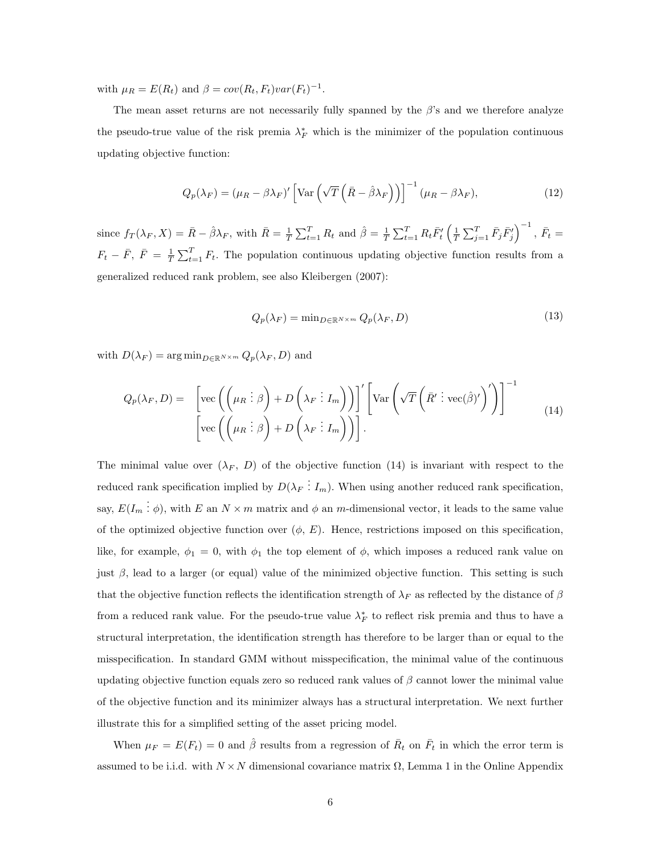with  $\mu_R = E(R_t)$  and  $\beta = cov(R_t, F_t)var(F_t)^{-1}$ .

The mean asset returns are not necessarily fully spanned by the  $\beta$ 's and we therefore analyze the pseudo-true value of the risk premia  $\lambda_F^*$  which is the minimizer of the population continuous updating objective function:

$$
Q_p(\lambda_F) = (\mu_R - \beta \lambda_F)' \left[ \text{Var} \left( \sqrt{T} \left( \bar{R} - \hat{\beta} \lambda_F \right) \right) \right]^{-1} (\mu_R - \beta \lambda_F), \tag{12}
$$

since  $f_T(\lambda_F, X) = \bar{R} - \hat{\beta} \lambda_F$ , with  $\bar{R} = \frac{1}{T} \sum_{t=1}^T R_t$  and  $\hat{\beta} = \frac{1}{T} \sum_{t=1}^T R_t \bar{F}'_t \left( \frac{1}{T} \sum_{j=1}^T \bar{F}_j \bar{F}'_j \right)^{-1}$ ,  $\bar{F}_t =$  $F_t - \bar{F}, \ \bar{F} = \frac{1}{T} \sum_{t=1}^T F_t$ . The population continuous updating objective function results from a generalized reduced rank problem, see also Kleibergen (2007):

$$
Q_p(\lambda_F) = \min_{D \in \mathbb{R}^{N \times m}} Q_p(\lambda_F, D) \tag{13}
$$

with  $D(\lambda_F) = \arg \min_{D \in \mathbb{R}^{N \times m}} Q_p(\lambda_F, D)$  and

$$
Q_p(\lambda_F, D) = \left[ \text{vec}\left( \left( \mu_R \vdots \beta \right) + D \left( \lambda_F \vdots I_m \right) \right) \right]' \left[ \text{Var}\left( \sqrt{T} \left( \bar{R}' \vdots \text{vec}(\hat{\beta})' \right)' \right) \right]^{-1} \right]
$$
  

$$
\left[ \text{vec}\left( \left( \mu_R \vdots \beta \right) + D \left( \lambda_F \vdots I_m \right) \right) \right].
$$
 (14)

The minimal value over  $(\lambda_F, D)$  of the objective function (14) is invariant with respect to the reduced rank specification implied by  $D(\lambda_F \dot{I}_m)$ . When using another reduced rank specification, say,  $E(I_m: \phi)$ , with E an  $N \times m$  matrix and  $\phi$  an m-dimensional vector, it leads to the same value of the optimized objective function over  $(\phi, E)$ . Hence, restrictions imposed on this specification, like, for example,  $\phi_1 = 0$ , with  $\phi_1$  the top element of  $\phi$ , which imposes a reduced rank value on just  $\beta$ , lead to a larger (or equal) value of the minimized objective function. This setting is such that the objective function reflects the identification strength of  $\lambda_F$  as reflected by the distance of  $\beta$ from a reduced rank value. For the pseudo-true value  $\lambda_F^*$  to reflect risk premia and thus to have a structural interpretation, the identification strength has therefore to be larger than or equal to the misspecification. In standard GMM without misspecification, the minimal value of the continuous updating objective function equals zero so reduced rank values of  $\beta$  cannot lower the minimal value of the objective function and its minimizer always has a structural interpretation. We next further illustrate this for a simplified setting of the asset pricing model.

When  $\mu_F = E(F_t) = 0$  and  $\hat{\beta}$  results from a regression of  $\bar{R}_t$  on  $\bar{F}_t$  in which the error term is assumed to be i.i.d. with  $N \times N$  dimensional covariance matrix  $\Omega$ , Lemma 1 in the Online Appendix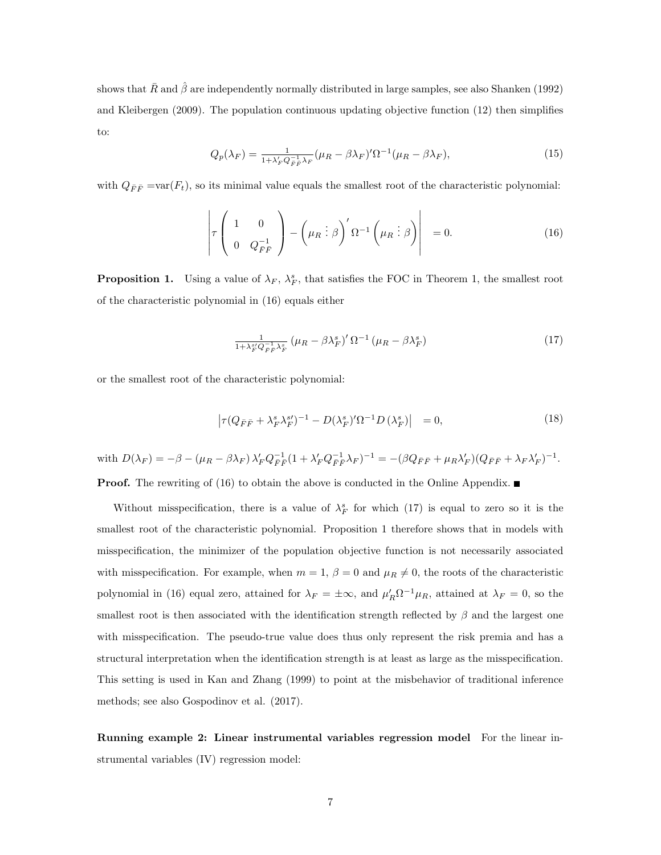shows that  $\bar{R}$  and  $\hat{\beta}$  are independently normally distributed in large samples, see also Shanken (1992) and Kleibergen (2009). The population continuous updating objective function (12) then simplifies to:

$$
Q_p(\lambda_F) = \frac{1}{1 + \lambda'_F Q_{\bar{F}\bar{F}}^{-1} \lambda_F} (\mu_R - \beta \lambda_F)' \Omega^{-1} (\mu_R - \beta \lambda_F), \tag{15}
$$

with  $Q_{\bar{F}\bar{F}} = var(F_t)$ , so its minimal value equals the smallest root of the characteristic polynomial:

$$
\left| \tau \left( \begin{array}{cc} 1 & 0 \\ 0 & Q_{FF}^{-1} \end{array} \right) - \left( \mu_R \vdots \beta \right)' \Omega^{-1} \left( \mu_R \vdots \beta \right) \right| = 0. \tag{16}
$$

**Proposition 1.** Using a value of  $\lambda_F$ ,  $\lambda_F^s$ , that satisfies the FOC in Theorem 1, the smallest root of the characteristic polynomial in (16) equals either

$$
\frac{1}{1+\lambda_F^{s}Q_{\vec{F}\vec{F}}^{-1}\lambda_F^{s}}\left(\mu_R - \beta\lambda_F^{s}\right)' \Omega^{-1}\left(\mu_R - \beta\lambda_F^{s}\right) \tag{17}
$$

or the smallest root of the characteristic polynomial:

$$
\left|\tau(Q_{\bar{F}\bar{F}} + \lambda_F^s \lambda_F^{s\prime})^{-1} - D(\lambda_F^s)'\Omega^{-1}D(\lambda_F^s)\right| = 0,\tag{18}
$$

with 
$$
D(\lambda_F) = -\beta - (\mu_R - \beta \lambda_F) \lambda'_F Q_{\bar{F}\bar{F}}^{-1} (1 + \lambda'_F Q_{\bar{F}\bar{F}}^{-1} \lambda_F)^{-1} = -(\beta Q_{\bar{F}\bar{F}} + \mu_R \lambda'_F) (Q_{\bar{F}\bar{F}} + \lambda_F \lambda'_F)^{-1}.
$$

**Proof.** The rewriting of (16) to obtain the above is conducted in the Online Appendix.

Without misspecification, there is a value of  $\lambda_F^s$  for which (17) is equal to zero so it is the smallest root of the characteristic polynomial. Proposition 1 therefore shows that in models with misspecification, the minimizer of the population objective function is not necessarily associated with misspecification. For example, when  $m = 1$ ,  $\beta = 0$  and  $\mu_R \neq 0$ , the roots of the characteristic polynomial in (16) equal zero, attained for  $\lambda_F = \pm \infty$ , and  $\mu'_R \Omega^{-1} \mu_R$ , attained at  $\lambda_F = 0$ , so the smallest root is then associated with the identification strength reflected by  $\beta$  and the largest one with misspecification. The pseudo-true value does thus only represent the risk premia and has a structural interpretation when the identification strength is at least as large as the misspecification. This setting is used in Kan and Zhang (1999) to point at the misbehavior of traditional inference methods; see also Gospodinov et al. (2017).

Running example 2: Linear instrumental variables regression model For the linear instrumental variables (IV) regression model: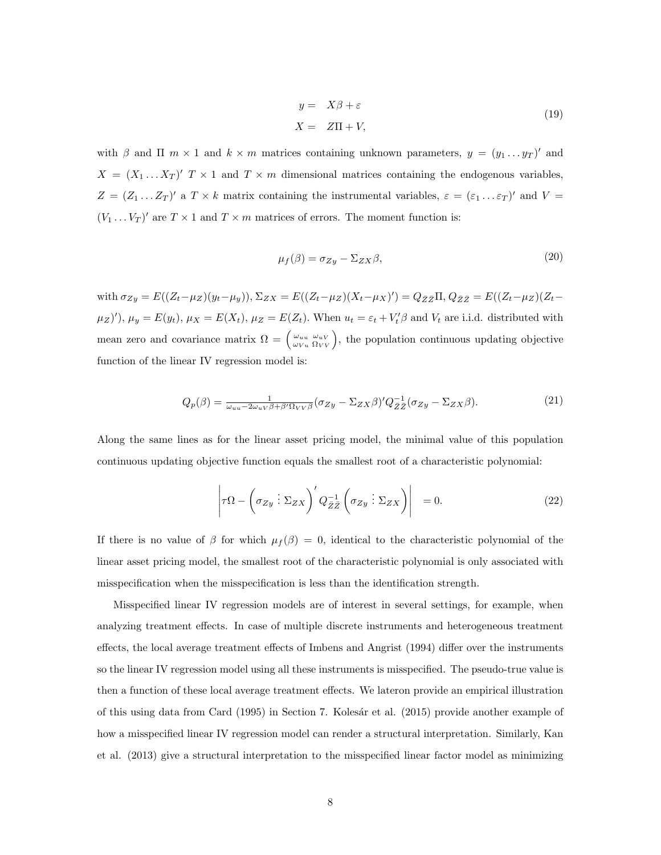$$
y = X\beta + \varepsilon
$$
  

$$
X = Z\Pi + V,
$$
 (19)

with  $\beta$  and  $\Pi$  m × 1 and  $k \times m$  matrices containing unknown parameters,  $y = (y_1 \dots y_T)'$  and  $X = (X_1 ... X_T)'$   $T \times 1$  and  $T \times m$  dimensional matrices containing the endogenous variables,  $Z = (Z_1 \dots Z_T)'$  a  $T \times k$  matrix containing the instrumental variables,  $\varepsilon = (\varepsilon_1 \dots \varepsilon_T)'$  and  $V =$  $(V_1 \dots V_T)'$  are  $T \times 1$  and  $T \times m$  matrices of errors. The moment function is:

$$
\mu_f(\beta) = \sigma_{Zy} - \Sigma_{ZX}\beta,\tag{20}
$$

with  $\sigma_{Zy} = E((Z_t - \mu_Z)(y_t - \mu_y)), \Sigma_{ZX} = E((Z_t - \mu_Z)(X_t - \mu_X)') = Q_{\bar{Z}\bar{Z}}\Pi, Q_{\bar{Z}\bar{Z}} = E((Z_t - \mu_Z)(Z_t - \mu_Y))$  $(\mu_Z)'$ ,  $\mu_y = E(y_t)$ ,  $\mu_X = E(X_t)$ ,  $\mu_Z = E(Z_t)$ . When  $u_t = \varepsilon_t + V'_t \beta$  and  $V_t$  are i.i.d. distributed with mean zero and covariance matrix  $\Omega = \begin{pmatrix} \omega_{uu} & \omega_{uV} \\ \omega_{Vu} & \Omega_{VV} \end{pmatrix}$ , the population continuous updating objective function of the linear IV regression model is:

$$
Q_p(\beta) = \frac{1}{\omega_{uu} - 2\omega_u v \beta + \beta' \Omega_{VV} \beta} (\sigma_{Zy} - \Sigma_{ZX} \beta)' Q_{\bar{Z}\bar{Z}}^{-1} (\sigma_{Zy} - \Sigma_{ZX} \beta).
$$
 (21)

Along the same lines as for the linear asset pricing model, the minimal value of this population continuous updating objective function equals the smallest root of a characteristic polynomial:

$$
\left| \tau \Omega - \left( \sigma_{Zy} : \Sigma_{ZX} \right)' Q_{\bar{Z}\bar{Z}}^{-1} \left( \sigma_{Zy} : \Sigma_{ZX} \right) \right| = 0. \tag{22}
$$

If there is no value of  $\beta$  for which  $\mu_f(\beta) = 0$ , identical to the characteristic polynomial of the linear asset pricing model, the smallest root of the characteristic polynomial is only associated with misspecification when the misspecification is less than the identification strength.

Misspecified linear IV regression models are of interest in several settings, for example, when analyzing treatment effects. In case of multiple discrete instruments and heterogeneous treatment effects, the local average treatment effects of Imbens and Angrist (1994) differ over the instruments so the linear IV regression model using all these instruments is misspecified. The pseudo-true value is then a function of these local average treatment effects. We lateron provide an empirical illustration of this using data from Card (1995) in Section 7. Kolesár et al. (2015) provide another example of how a misspecified linear IV regression model can render a structural interpretation. Similarly, Kan et al. (2013) give a structural interpretation to the misspecified linear factor model as minimizing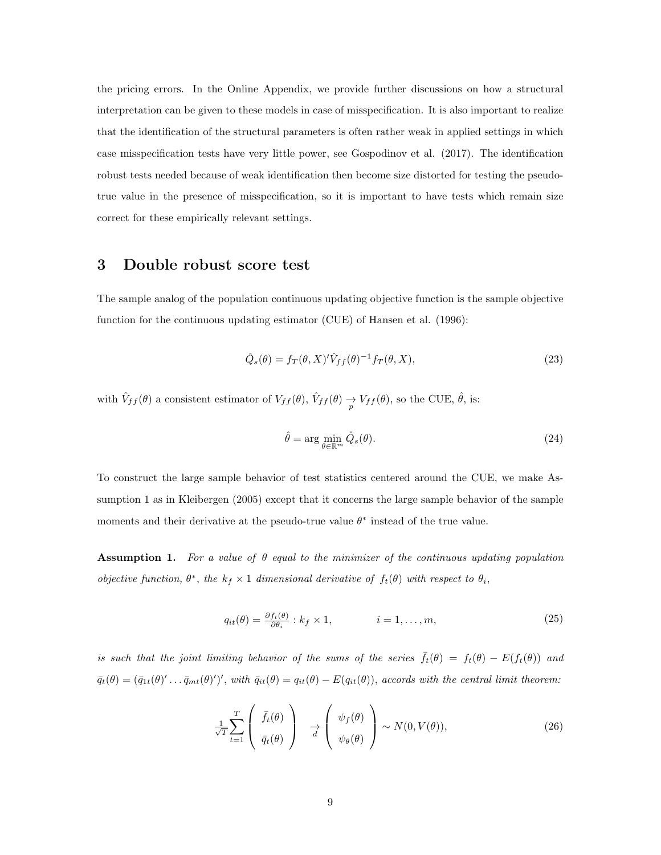the pricing errors. In the Online Appendix, we provide further discussions on how a structural interpretation can be given to these models in case of misspecification. It is also important to realize that the identification of the structural parameters is often rather weak in applied settings in which case misspecification tests have very little power, see Gospodinov et al. (2017). The identification robust tests needed because of weak identification then become size distorted for testing the pseudotrue value in the presence of misspecification, so it is important to have tests which remain size correct for these empirically relevant settings.

### 3 Double robust score test

The sample analog of the population continuous updating objective function is the sample objective function for the continuous updating estimator (CUE) of Hansen et al. (1996):

$$
\hat{Q}_s(\theta) = f_T(\theta, X)' \hat{V}_{ff}(\theta)^{-1} f_T(\theta, X), \qquad (23)
$$

with  $\hat{V}_{ff}(\theta)$  a consistent estimator of  $V_{ff}(\theta)$ ,  $\hat{V}_{ff}(\theta) \to V_{ff}(\theta)$ , so the CUE,  $\hat{\theta}$ , is:

$$
\hat{\theta} = \arg\min_{\theta \in \mathbb{R}^m} \hat{Q}_s(\theta). \tag{24}
$$

To construct the large sample behavior of test statistics centered around the CUE, we make Assumption 1 as in Kleibergen (2005) except that it concerns the large sample behavior of the sample moments and their derivative at the pseudo-true value  $\theta^*$  instead of the true value.

**Assumption 1.** For a value of  $\theta$  equal to the minimizer of the continuous updating population objective function,  $\theta^*$ , the  $k_f \times 1$  dimensional derivative of  $f_t(\theta)$  with respect to  $\theta_i$ ,

$$
q_{it}(\theta) = \frac{\partial f_t(\theta)}{\partial \theta_i} : k_f \times 1, \qquad i = 1, \dots, m,
$$
\n(25)

is such that the joint limiting behavior of the sums of the series  $\bar{f}_t(\theta) = f_t(\theta) - E(f_t(\theta))$  and  $\bar{q}_t(\theta) = (\bar{q}_{1t}(\theta)'\dots\bar{q}_{mt}(\theta)')',$  with  $\bar{q}_{it}(\theta) = q_{it}(\theta) - E(q_{it}(\theta))$ , accords with the central limit theorem:

$$
\frac{1}{\sqrt{T}} \sum_{t=1}^{T} \left( \begin{array}{c} \bar{f}_t(\theta) \\ \bar{q}_t(\theta) \end{array} \right) \quad \frac{1}{d} \left( \begin{array}{c} \psi_f(\theta) \\ \psi_\theta(\theta) \end{array} \right) \sim N(0, V(\theta)),\tag{26}
$$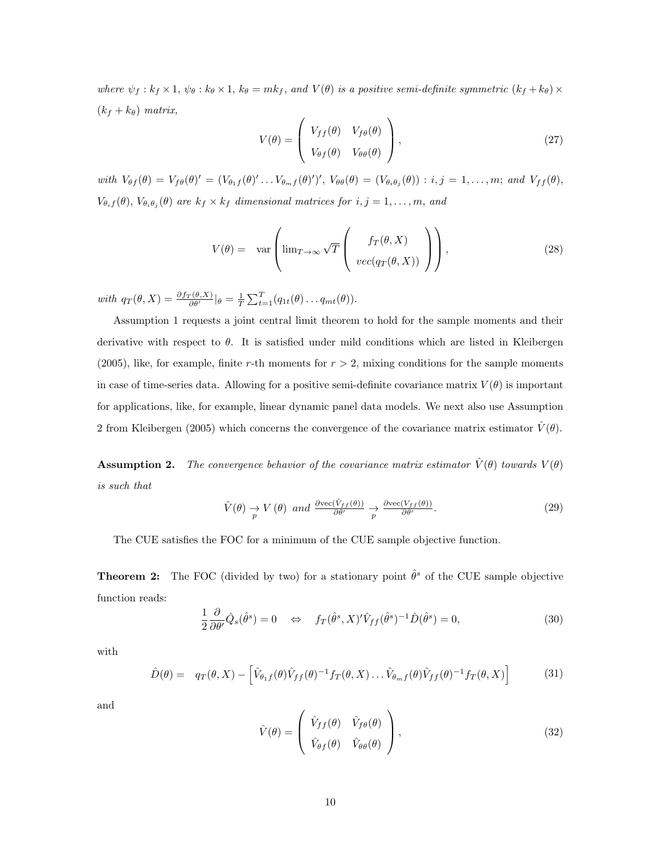where  $\psi_f : k_f \times 1$ ,  $\psi_\theta : k_\theta \times 1$ ,  $k_\theta = mk_f$ , and  $V(\theta)$  is a positive semi-definite symmetric  $(k_f + k_\theta) \times$  $(k_f + k_\theta)$  matrix,

$$
V(\theta) = \begin{pmatrix} V_{ff}(\theta) & V_{f\theta}(\theta) \\ V_{\theta f}(\theta) & V_{\theta \theta}(\theta) \end{pmatrix},
$$
\n(27)

with  $V_{\theta f}(\theta) = V_{f\theta}(\theta)' = (V_{\theta_1 f}(\theta)' \dots V_{\theta_m f}(\theta)')'$ ,  $V_{\theta\theta}(\theta) = (V_{\theta_i \theta_j}(\theta)) : i, j = 1, \dots, m;$  and  $V_{ff}(\theta)$ ,  $V_{\theta_i f}(\theta), V_{\theta_i \theta_j}(\theta)$  are  $k_f \times k_f$  dimensional matrices for  $i, j = 1, \ldots, m$ , and

$$
V(\theta) = \text{var}\left(\lim_{T \to \infty} \sqrt{T} \left( \frac{f_T(\theta, X)}{\text{vec}(q_T(\theta, X))} \right) \right),\tag{28}
$$

with  $q_T(\theta, X) = \frac{\partial f_T(\theta, X)}{\partial \theta} |_{\theta} = \frac{1}{T} \sum_{t=1}^T (q_{1t}(\theta) \dots q_{mt}(\theta)).$ 

Assumption 1 requests a joint central limit theorem to hold for the sample moments and their derivative with respect to  $\theta$ . It is satisfied under mild conditions which are listed in Kleibergen (2005), like, for example, finite r-th moments for  $r > 2$ , mixing conditions for the sample moments in case of time-series data. Allowing for a positive semi-definite covariance matrix  $V(\theta)$  is important for applications, like, for example, linear dynamic panel data models. We next also use Assumption 2 from Kleibergen (2005) which concerns the convergence of the covariance matrix estimator  $\dot{V}(\theta)$ .

**Assumption 2.** The convergence behavior of the covariance matrix estimator  $\hat{V}(\theta)$  towards  $V(\theta)$ is such that

$$
\hat{V}(\theta) \underset{p}{\rightarrow} V(\theta) \text{ and } \frac{\partial \text{vec}(\hat{V}_{ff}(\theta))}{\partial \theta'} \underset{p}{\rightarrow} \frac{\partial \text{vec}(V_{ff}(\theta))}{\partial \theta'}.
$$
\n(29)

The CUE satisfies the FOC for a minimum of the CUE sample objective function.

**Theorem 2:** The FOC (divided by two) for a stationary point  $\hat{\theta}^s$  of the CUE sample objective function reads:

$$
\frac{1}{2}\frac{\partial}{\partial \theta'}\hat{Q}_s(\hat{\theta}^s) = 0 \quad \Leftrightarrow \quad f_T(\hat{\theta}^s, X)'\hat{V}_{ff}(\hat{\theta}^s)^{-1}\hat{D}(\hat{\theta}^s) = 0,\tag{30}
$$

with

$$
\hat{D}(\theta) = q_T(\theta, X) - \left[ \hat{V}_{\theta_1 f}(\theta) \hat{V}_{f f}(\theta)^{-1} f_T(\theta, X) \dots \hat{V}_{\theta_m f}(\theta) \hat{V}_{f f}(\theta)^{-1} f_T(\theta, X) \right]
$$
(31)

and

$$
\hat{V}(\theta) = \begin{pmatrix} \hat{V}_{ff}(\theta) & \hat{V}_{f\theta}(\theta) \\ \hat{V}_{\theta f}(\theta) & \hat{V}_{\theta \theta}(\theta) \end{pmatrix},
$$
\n(32)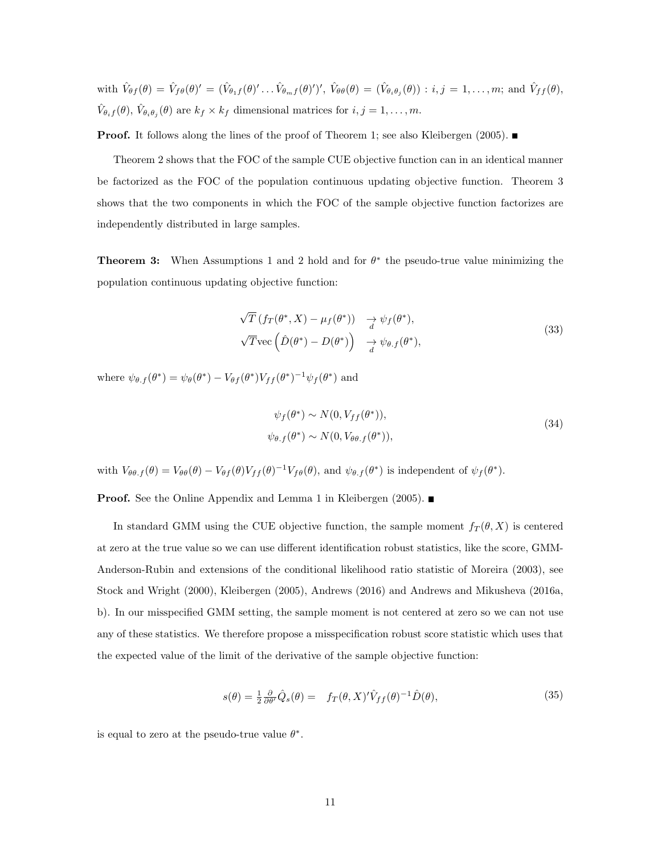with  $\hat{V}_{\theta f}(\theta) = \hat{V}_{f\theta}(\theta)' = (\hat{V}_{\theta_1 f}(\theta)' \dots \hat{V}_{\theta_m f}(\theta)')', \ \hat{V}_{\theta\theta}(\theta) = (\hat{V}_{\theta_i \theta_j}(\theta)) : i, j = 1, \dots, m;$  and  $\hat{V}_{f f}(\theta)$ ,  $\hat{V}_{\theta_i f}(\theta), \hat{V}_{\theta_i \theta_j}(\theta)$  are  $k_f \times k_f$  dimensional matrices for  $i, j = 1, \ldots, m$ .

**Proof.** It follows along the lines of the proof of Theorem 1; see also Kleibergen (2005).

Theorem 2 shows that the FOC of the sample CUE objective function can in an identical manner be factorized as the FOC of the population continuous updating objective function. Theorem 3 shows that the two components in which the FOC of the sample objective function factorizes are independently distributed in large samples.

**Theorem 3:** When Assumptions 1 and 2 hold and for  $\theta^*$  the pseudo-true value minimizing the population continuous updating objective function:

$$
\sqrt{T} \left( f_T(\theta^*, X) - \mu_f(\theta^*) \right) \quad \underset{d}{\rightarrow} \psi_f(\theta^*),
$$
  

$$
\sqrt{T} \text{vec} \left( \hat{D}(\theta^*) - D(\theta^*) \right) \quad \underset{d}{\rightarrow} \psi_{\theta \cdot f}(\theta^*),
$$
 (33)

where  $\psi_{\theta,f}(\theta^*) = \psi_{\theta}(\theta^*) - V_{\theta f}(\theta^*) V_{ff}(\theta^*)^{-1} \psi_f(\theta^*)$  and

$$
\psi_f(\theta^*) \sim N(0, V_{ff}(\theta^*)),
$$
  
\n
$$
\psi_{\theta.f}(\theta^*) \sim N(0, V_{\theta\theta.f}(\theta^*)),
$$
\n(34)

with  $V_{\theta\theta,f}(\theta) = V_{\theta\theta}(\theta) - V_{\theta f}(\theta)V_{ff}(\theta)^{-1}V_{f\theta}(\theta)$ , and  $\psi_{\theta,f}(\theta^*)$  is independent of  $\psi_f(\theta^*)$ .

**Proof.** See the Online Appendix and Lemma 1 in Kleibergen (2005). ■

In standard GMM using the CUE objective function, the sample moment  $f_T(\theta, X)$  is centered at zero at the true value so we can use different identification robust statistics, like the score, GMM-Anderson-Rubin and extensions of the conditional likelihood ratio statistic of Moreira (2003), see Stock and Wright (2000), Kleibergen (2005), Andrews (2016) and Andrews and Mikusheva (2016a, b). In our misspecified GMM setting, the sample moment is not centered at zero so we can not use any of these statistics. We therefore propose a misspecification robust score statistic which uses that the expected value of the limit of the derivative of the sample objective function:

$$
s(\theta) = \frac{1}{2} \frac{\partial}{\partial \theta'} \hat{Q}_s(\theta) = f_T(\theta, X)' \hat{V}_{ff}(\theta)^{-1} \hat{D}(\theta), \tag{35}
$$

is equal to zero at the pseudo-true value  $\theta^*$ .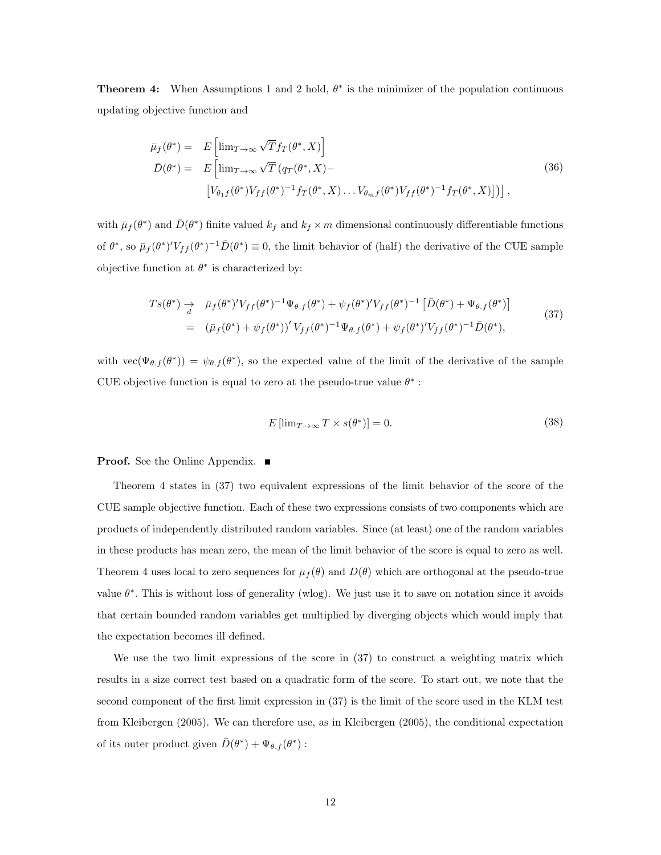**Theorem 4:** When Assumptions 1 and 2 hold,  $\theta^*$  is the minimizer of the population continuous updating objective function and

$$
\bar{\mu}_f(\theta^*) = E\left[\lim_{T \to \infty} \sqrt{T} f_T(\theta^*, X)\right]
$$
\n
$$
\bar{D}(\theta^*) = E\left[\lim_{T \to \infty} \sqrt{T} (q_T(\theta^*, X) - \left[V_{\theta_1 f}(\theta^*) V_{ff}(\theta^*)^{-1} f_T(\theta^*, X)\dots V_{\theta_m f}(\theta^*) V_{ff}(\theta^*)^{-1} f_T(\theta^*, X)\right]\right],
$$
\n(36)

with  $\bar{\mu}_f(\theta^*)$  and  $\bar{D}(\theta^*)$  finite valued  $k_f$  and  $k_f \times m$  dimensional continuously differentiable functions of  $\theta^*$ , so  $\bar{\mu}_f(\theta^*)^t V_{ff}(\theta^*)^{-1} \bar{D}(\theta^*) \equiv 0$ , the limit behavior of (half) the derivative of the CUE sample objective function at  $\theta^*$  is characterized by:

$$
Ts(\theta^*) \to \bar{\mu}_f(\theta^*)'V_{ff}(\theta^*)^{-1}\Psi_{\theta.f}(\theta^*) + \psi_f(\theta^*)'V_{ff}(\theta^*)^{-1} [\bar{D}(\theta^*) + \Psi_{\theta.f}(\theta^*)]
$$
  
=  $(\bar{\mu}_f(\theta^*) + \psi_f(\theta^*))'V_{ff}(\theta^*)^{-1}\Psi_{\theta.f}(\theta^*) + \psi_f(\theta^*)'V_{ff}(\theta^*)^{-1}\bar{D}(\theta^*),$  (37)

with  $\text{vec}(\Psi_{\theta,f}(\theta^*)) = \psi_{\theta,f}(\theta^*)$ , so the expected value of the limit of the derivative of the sample CUE objective function is equal to zero at the pseudo-true value  $\theta^*$ :

$$
E\left[\lim_{T \to \infty} T \times s(\theta^*)\right] = 0. \tag{38}
$$

**Proof.** See the Online Appendix. ■

Theorem 4 states in (37) two equivalent expressions of the limit behavior of the score of the CUE sample objective function. Each of these two expressions consists of two components which are products of independently distributed random variables. Since (at least) one of the random variables in these products has mean zero, the mean of the limit behavior of the score is equal to zero as well. Theorem 4 uses local to zero sequences for  $\mu_f(\theta)$  and  $D(\theta)$  which are orthogonal at the pseudo-true value  $\theta^*$ . This is without loss of generality (wlog). We just use it to save on notation since it avoids that certain bounded random variables get multiplied by diverging objects which would imply that the expectation becomes ill defined.

We use the two limit expressions of the score in (37) to construct a weighting matrix which results in a size correct test based on a quadratic form of the score. To start out, we note that the second component of the first limit expression in (37) is the limit of the score used in the KLM test from Kleibergen (2005). We can therefore use, as in Kleibergen (2005), the conditional expectation of its outer product given  $\bar{D}(\theta^*) + \Psi_{\theta,f}(\theta^*)$ :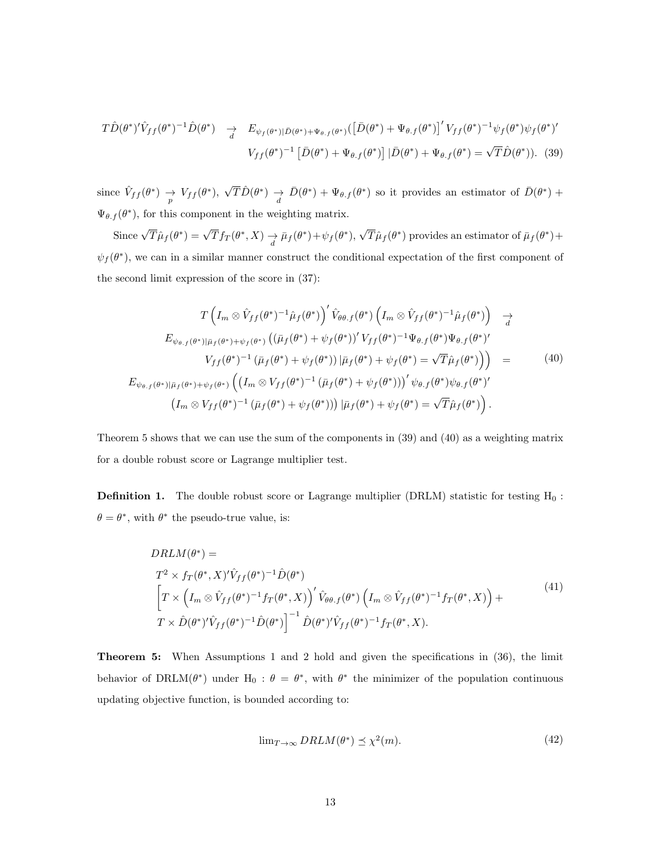$$
T\hat{D}(\theta^*)'\hat{V}_{ff}(\theta^*)^{-1}\hat{D}(\theta^*) \quad \xrightarrow{d} \quad E_{\psi_f(\theta^*)|\bar{D}(\theta^*)+\Psi_{\theta,f}(\theta^*)}([\bar{D}(\theta^*)+\Psi_{\theta,f}(\theta^*)]'\,V_{ff}(\theta^*)^{-1}\psi_f(\theta^*)\psi_f(\theta^*)'
$$
\n
$$
V_{ff}(\theta^*)^{-1}\left[\bar{D}(\theta^*)+\Psi_{\theta,f}(\theta^*)\right]|\bar{D}(\theta^*)+\Psi_{\theta,f}(\theta^*)=\sqrt{T}\hat{D}(\theta^*).
$$
\n(39)

since  $\hat{V}_{ff}(\theta^*) \rightarrow V_{ff}(\theta^*),$  $\sqrt{T}\hat{D}(\theta^*)$   $\to \bar{D}(\theta^*) + \Psi_{\theta,f}(\theta^*)$  so it provides an estimator of  $\bar{D}(\theta^*)$  +  $\Psi_{\theta,f}(\theta^*)$ , for this component in the weighting matrix.

Since  $\sqrt{T}\hat{\mu}_f(\theta^*) = \sqrt{T}f_T(\theta^*, X) \underset{d}{\rightarrow} \bar{\mu}_f(\theta^*) + \psi_f(\theta^*),$ √  $\overline{T}\hat{\mu}_f(\theta^*)$  provides an estimator of  $\overline{\mu}_f(\theta^*) +$  $\psi_f(\theta^*)$ , we can in a similar manner construct the conditional expectation of the first component of the second limit expression of the score in (37):

$$
T\left(I_m \otimes \hat{V}_{ff}(\theta^*)^{-1}\hat{\mu}_f(\theta^*)\right)' \hat{V}_{\theta\theta.f}(\theta^*) \left(I_m \otimes \hat{V}_{ff}(\theta^*)^{-1}\hat{\mu}_f(\theta^*)\right) \rightarrow
$$
  
\n
$$
E_{\psi_{\theta.f}(\theta^*)|\bar{\mu}_f(\theta^*)+\psi_f(\theta^*)} \left((\bar{\mu}_f(\theta^*)+\psi_f(\theta^*))' V_{ff}(\theta^*)^{-1} \Psi_{\theta.f}(\theta^*) \Psi_{\theta.f}(\theta^*)'\right)'
$$
  
\n
$$
V_{ff}(\theta^*)^{-1} (\bar{\mu}_f(\theta^*)+\psi_f(\theta^*)) |\bar{\mu}_f(\theta^*)+\psi_f(\theta^*) = \sqrt{T} \hat{\mu}_f(\theta^*)\right) =
$$
  
\n
$$
E_{\psi_{\theta.f}(\theta^*)|\bar{\mu}_f(\theta^*)+\psi_f(\theta^*)} \left((I_m \otimes V_{ff}(\theta^*)^{-1} (\bar{\mu}_f(\theta^*)+\psi_f(\theta^*))' \psi_{\theta.f}(\theta^*) \psi_{\theta.f}(\theta^*)'\right)
$$
  
\n
$$
(I_m \otimes V_{ff}(\theta^*)^{-1} (\bar{\mu}_f(\theta^*)+\psi_f(\theta^*)) ) |\bar{\mu}_f(\theta^*)+\psi_f(\theta^*) = \sqrt{T} \hat{\mu}_f(\theta^*)
$$

Theorem 5 shows that we can use the sum of the components in (39) and (40) as a weighting matrix for a double robust score or Lagrange multiplier test.

**Definition 1.** The double robust score or Lagrange multiplier (DRLM) statistic for testing  $H_0$ :  $\theta = \theta^*$ , with  $\theta^*$  the pseudo-true value, is:

$$
DRLM(\theta^*) =
$$
  
\n
$$
T^2 \times f_T(\theta^*, X)' \hat{V}_{ff}(\theta^*)^{-1} \hat{D}(\theta^*)
$$
  
\n
$$
\left[ T \times \left( I_m \otimes \hat{V}_{ff}(\theta^*)^{-1} f_T(\theta^*, X) \right)' \hat{V}_{\theta\theta,f}(\theta^*) \left( I_m \otimes \hat{V}_{ff}(\theta^*)^{-1} f_T(\theta^*, X) \right) + T \times \hat{D}(\theta^*)' \hat{V}_{ff}(\theta^*)^{-1} \hat{D}(\theta^*)' \hat{V}_{ff}(\theta^*)^{-1} f_T(\theta^*, X).
$$
\n
$$
(41)
$$

Theorem 5: When Assumptions 1 and 2 hold and given the specifications in (36), the limit behavior of DRLM( $\theta^*$ ) under H<sub>0</sub>:  $\theta = \theta^*$ , with  $\theta^*$  the minimizer of the population continuous updating objective function, is bounded according to:

$$
\lim_{T \to \infty} DRLM(\theta^*) \preceq \chi^2(m). \tag{42}
$$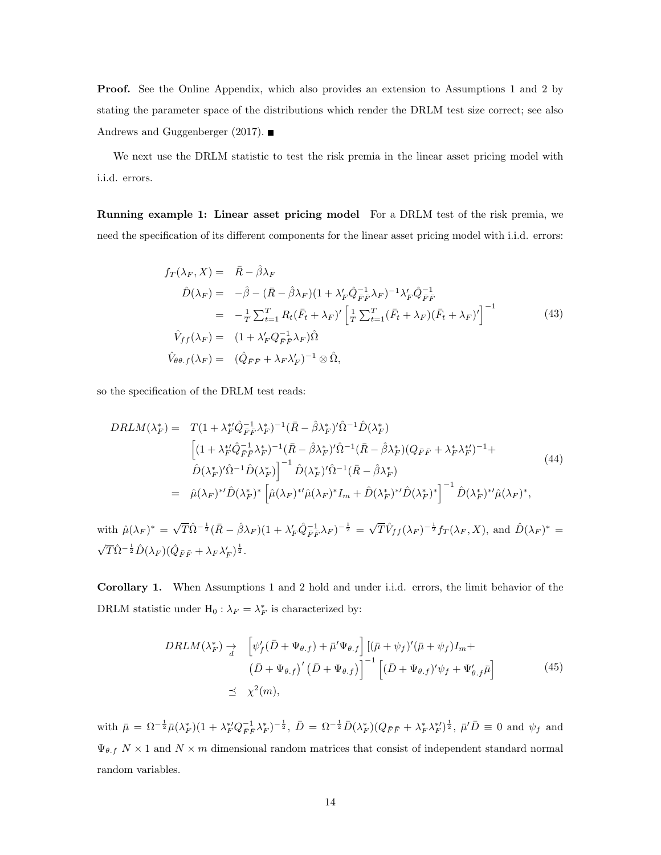Proof. See the Online Appendix, which also provides an extension to Assumptions 1 and 2 by stating the parameter space of the distributions which render the DRLM test size correct; see also Andrews and Guggenberger (2017).  $\blacksquare$ 

We next use the DRLM statistic to test the risk premia in the linear asset pricing model with i.i.d. errors.

Running example 1: Linear asset pricing model For a DRLM test of the risk premia, we need the specification of its different components for the linear asset pricing model with i.i.d. errors:

$$
f_T(\lambda_F, X) = \bar{R} - \hat{\beta}\lambda_F
$$
  
\n
$$
\hat{D}(\lambda_F) = -\hat{\beta} - (\bar{R} - \hat{\beta}\lambda_F)(1 + \lambda'_F \hat{Q}_{\bar{F}\bar{F}}^{-1} \lambda_F)^{-1} \lambda'_F \hat{Q}_{\bar{F}\bar{F}}^{-1}
$$
  
\n
$$
= -\frac{1}{T} \sum_{t=1}^T R_t (\bar{F}_t + \lambda_F)' \left[ \frac{1}{T} \sum_{t=1}^T (\bar{F}_t + \lambda_F)(\bar{F}_t + \lambda_F)'\right]^{-1}
$$
  
\n
$$
\hat{V}_{ff}(\lambda_F) = (1 + \lambda'_F Q_{\bar{F}\bar{F}}^{-1} \lambda_F) \hat{\Omega}
$$
  
\n
$$
\hat{V}_{\theta\theta.f}(\lambda_F) = (\hat{Q}_{\bar{F}\bar{F}} + \lambda_F \lambda'_F)^{-1} \otimes \hat{\Omega},
$$
\n(43)

so the specification of the DRLM test reads:

$$
DRLM(\lambda_F^*) = T(1 + \lambda_F^{*t} \hat{Q}_{FF}^{-1} \lambda_F^*)^{-1} (\bar{R} - \hat{\beta} \lambda_F^*)' \hat{\Omega}^{-1} \hat{D}(\lambda_F^*)
$$
  
\n
$$
\begin{aligned}\n &\left[ (1 + \lambda_F^{*t} \hat{Q}_{FF}^{-1} \lambda_F^*)^{-1} (\bar{R} - \hat{\beta} \lambda_F^*)' \hat{\Omega}^{-1} (\bar{R} - \hat{\beta} \lambda_F^*) (Q_{FF} + \lambda_F^* \lambda_F^*)^{-1} + \hat{D}(\lambda_F^*)' \hat{\Omega}^{-1} \hat{D}(\lambda_F^*) \right]^{-1} \hat{D}(\lambda_F^*)' \hat{\Omega}^{-1} (\bar{R} - \hat{\beta} \lambda_F^*) \\
 &= \hat{\mu}(\lambda_F)^* t \hat{D}(\lambda_F^*)^* \left[ \hat{\mu}(\lambda_F)^* t \hat{\mu}(\lambda_F)^* I_m + \hat{D}(\lambda_F^*)^* t \hat{D}(\lambda_F^*) \right]^{-1} \hat{D}(\lambda_F^*)^* t \hat{\mu}(\lambda_F)^*,\n\end{aligned} \tag{44}
$$

with  $\hat{\mu}(\lambda_F)^* = \sqrt{T} \hat{\Omega}^{-\frac{1}{2}} (\bar{R} - \hat{\beta} \lambda_F)(1 + \lambda'_F \hat{Q}^{-1}_{\bar{F}\bar{F}} \lambda_F)^{-\frac{1}{2}} =$  $\sqrt{T}\hat{V}_{ff}(\lambda_F)^{-\frac{1}{2}}f_T(\lambda_F, X)$ , and  $\hat{D}(\lambda_F)^* =$  $\sqrt{T}\hat{\Omega}^{-\frac{1}{2}}\hat{D}(\lambda_F)(\hat{Q}_{\bar{F}\bar{F}} + \lambda_F\lambda'_F)^{\frac{1}{2}}.$ 

Corollary 1. When Assumptions 1 and 2 hold and under i.i.d. errors, the limit behavior of the DRLM statistic under  $H_0: \lambda_F = \lambda_F^*$  is characterized by:

$$
DRLM(\lambda_F^*) \rightarrow \left[ \psi_f'(\bar{D} + \Psi_{\theta,f}) + \bar{\mu}' \Psi_{\theta,f} \right] \left[ (\bar{\mu} + \psi_f)'(\bar{\mu} + \psi_f) I_m + (\bar{D} + \Psi_{\theta,f})' (\bar{D} + \Psi_{\theta,f}) \right]^{-1} \left[ (\bar{D} + \Psi_{\theta,f})' \psi_f + \Psi_{\theta,f}' \bar{\mu} \right]
$$
(45)  

$$
\preceq \chi^2(m),
$$

with  $\bar{\mu} = \Omega^{-\frac{1}{2}} \bar{\mu} (\lambda_F^*) (1 + \lambda_F^* Q_{\bar{F}\bar{F}}^{-1} \lambda_F^*)^{-\frac{1}{2}}, \ \bar{D} = \Omega^{-\frac{1}{2}} \bar{D} (\lambda_F^*) (Q_{\bar{F}\bar{F}} + \lambda_F^* \lambda_F^*)^{\frac{1}{2}}, \ \bar{\mu}' \bar{D} \equiv 0 \text{ and } \psi_f \text{ and }$  $\Psi_{\theta.f}$   $N \times 1$  and  $N \times m$  dimensional random matrices that consist of independent standard normal random variables.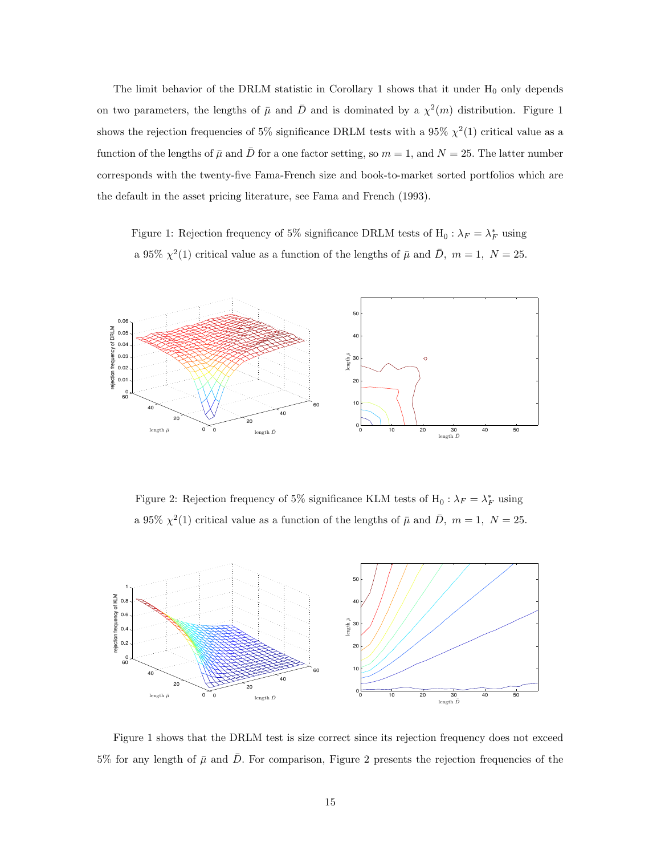The limit behavior of the DRLM statistic in Corollary 1 shows that it under  $H_0$  only depends on two parameters, the lengths of  $\bar{\mu}$  and  $\bar{D}$  and is dominated by a  $\chi^2(m)$  distribution. Figure 1 shows the rejection frequencies of 5% significance DRLM tests with a 95%  $\chi^2(1)$  critical value as a function of the lengths of  $\bar{\mu}$  and  $\bar{D}$  for a one factor setting, so  $m = 1$ , and  $N = 25$ . The latter number corresponds with the twenty-five Fama-French size and book-to-market sorted portfolios which are the default in the asset pricing literature, see Fama and French (1993).

Figure 1: Rejection frequency of 5% significance DRLM tests of  $H_0: \lambda_F = \lambda_F^*$  using a 95%  $\chi^2(1)$  critical value as a function of the lengths of  $\bar{\mu}$  and  $\bar{D}$ ,  $m = 1$ ,  $N = 25$ .



Figure 2: Rejection frequency of 5% significance KLM tests of  $H_0: \lambda_F = \lambda_F^*$  using a 95%  $\chi^2(1)$  critical value as a function of the lengths of  $\bar{\mu}$  and  $\bar{D}$ ,  $m = 1$ ,  $N = 25$ .



Figure 1 shows that the DRLM test is size correct since its rejection frequency does not exceed 5% for any length of  $\bar{\mu}$  and  $\bar{D}$ . For comparison, Figure 2 presents the rejection frequencies of the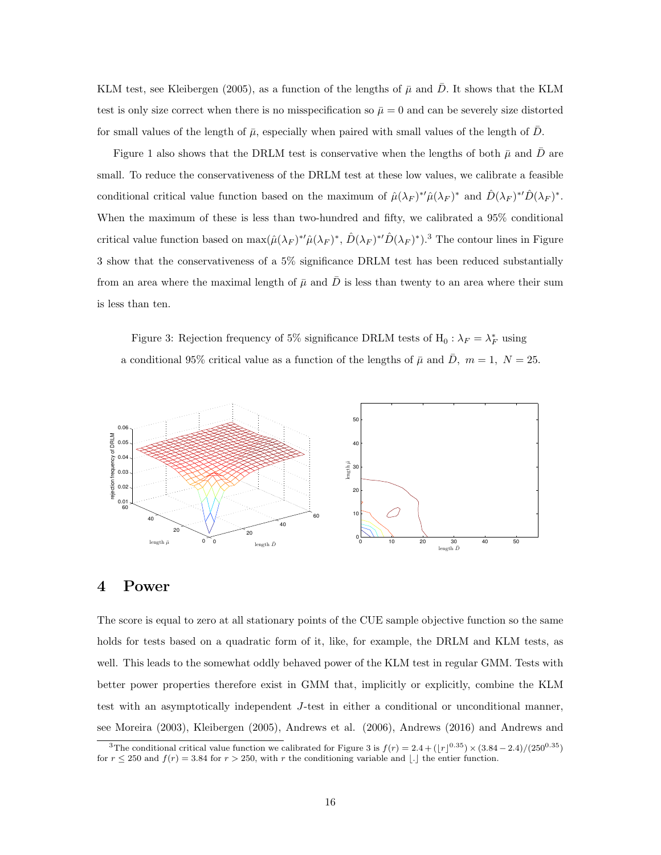KLM test, see Kleibergen (2005), as a function of the lengths of  $\bar{\mu}$  and  $\bar{D}$ . It shows that the KLM test is only size correct when there is no misspecification so  $\bar{\mu} = 0$  and can be severely size distorted for small values of the length of  $\bar{\mu}$ , especially when paired with small values of the length of  $\bar{D}$ .

Figure 1 also shows that the DRLM test is conservative when the lengths of both  $\bar{\mu}$  and  $\bar{D}$  are small. To reduce the conservativeness of the DRLM test at these low values, we calibrate a feasible conditional critical value function based on the maximum of  $\hat{\mu}(\lambda_F)^{*\prime}\hat{\mu}(\lambda_F)^{*}$  and  $\hat{D}(\lambda_F)^{*\prime}\hat{D}(\lambda_F)^{*}$ . When the maximum of these is less than two-hundred and fifty, we calibrated a 95% conditional critical value function based on  $\max(\hat{\mu}(\lambda_F)^{*}\hat{\mu}(\lambda_F)^{*}, \hat{D}(\lambda_F)^{*}\hat{D}(\lambda_F)^{*})$ .<sup>3</sup> The contour lines in Figure 3 show that the conservativeness of a 5% significance DRLM test has been reduced substantially from an area where the maximal length of  $\bar{\mu}$  and  $\bar{D}$  is less than twenty to an area where their sum is less than ten.

Figure 3: Rejection frequency of 5% significance DRLM tests of  $H_0: \lambda_F = \lambda_F^*$  using a conditional 95% critical value as a function of the lengths of  $\bar{\mu}$  and  $\bar{D}$ ,  $m = 1, N = 25$ .



### 4 Power

The score is equal to zero at all stationary points of the CUE sample objective function so the same holds for tests based on a quadratic form of it, like, for example, the DRLM and KLM tests, as well. This leads to the somewhat oddly behaved power of the KLM test in regular GMM. Tests with better power properties therefore exist in GMM that, implicitly or explicitly, combine the KLM test with an asymptotically independent J-test in either a conditional or unconditional manner, see Moreira (2003), Kleibergen (2005), Andrews et al. (2006), Andrews (2016) and Andrews and

<sup>&</sup>lt;sup>3</sup>The conditional critical value function we calibrated for Figure 3 is  $f(r) = 2.4 + (|r|^{0.35}) \times (3.84 - 2.4)/(250^{0.35})$ for  $r \le 250$  and  $f(r) = 3.84$  for  $r > 250$ , with r the conditioning variable and [.] the entier function.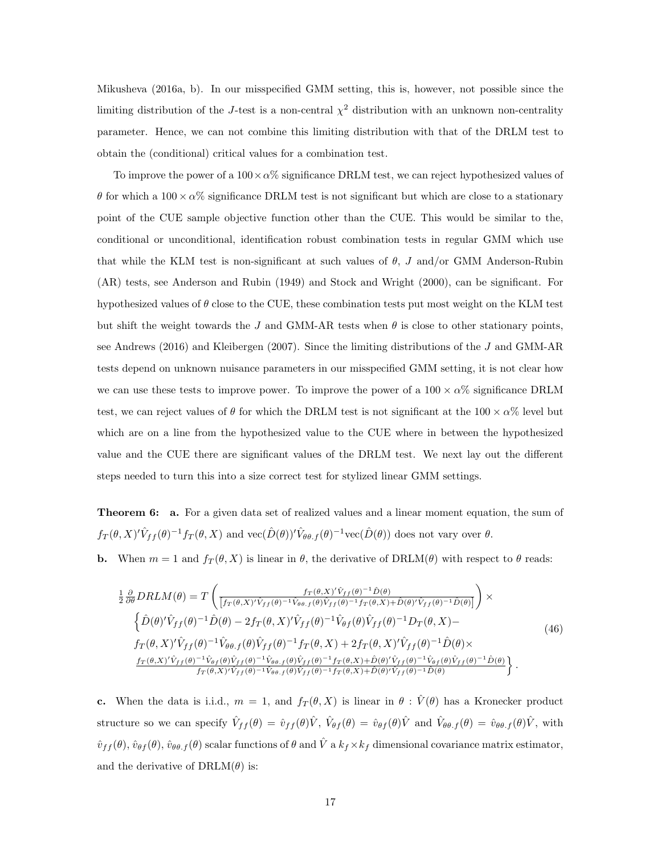Mikusheva (2016a, b). In our misspecified GMM setting, this is, however, not possible since the limiting distribution of the J-test is a non-central  $\chi^2$  distribution with an unknown non-centrality parameter. Hence, we can not combine this limiting distribution with that of the DRLM test to obtain the (conditional) critical values for a combination test.

To improve the power of a  $100 \times \alpha$ % significance DRLM test, we can reject hypothesized values of θ for which a  $100 \times \alpha$ % significance DRLM test is not significant but which are close to a stationary point of the CUE sample objective function other than the CUE. This would be similar to the, conditional or unconditional, identification robust combination tests in regular GMM which use that while the KLM test is non-significant at such values of  $\theta$ , J and/or GMM Anderson-Rubin (AR) tests, see Anderson and Rubin (1949) and Stock and Wright (2000), can be significant. For hypothesized values of  $\theta$  close to the CUE, these combination tests put most weight on the KLM test but shift the weight towards the J and GMM-AR tests when  $\theta$  is close to other stationary points, see Andrews (2016) and Kleibergen (2007). Since the limiting distributions of the J and GMM-AR tests depend on unknown nuisance parameters in our misspecified GMM setting, it is not clear how we can use these tests to improve power. To improve the power of a  $100 \times \alpha\%$  significance DRLM test, we can reject values of  $\theta$  for which the DRLM test is not significant at the 100  $\times$   $\alpha$ % level but which are on a line from the hypothesized value to the CUE where in between the hypothesized value and the CUE there are significant values of the DRLM test. We next lay out the different steps needed to turn this into a size correct test for stylized linear GMM settings.

Theorem 6: a. For a given data set of realized values and a linear moment equation, the sum of  $f_T(\theta, X)' \hat{V}_{ff}(\theta)^{-1} f_T(\theta, X)$  and  $\text{vec}(\hat{D}(\theta))' \hat{V}_{\theta\theta, f}(\theta)^{-1} \text{vec}(\hat{D}(\theta))$  does not vary over  $\theta$ .

**b.** When  $m = 1$  and  $f_T(\theta, X)$  is linear in  $\theta$ , the derivative of DRLM( $\theta$ ) with respect to  $\theta$  reads:

$$
\frac{1}{2} \frac{\partial}{\partial \theta} DRLM(\theta) = T \left( \frac{f_T(\theta, X)' \hat{V}_{ff}(\theta)^{-1} \hat{D}(\theta)}{[f_T(\theta, X)' \hat{V}_{ff}(\theta)^{-1} \hat{V}_{\theta\theta, f}(\theta) \hat{V}_{ff}(\theta)^{-1} f_T(\theta, X) + \hat{D}(\theta)' \hat{V}_{ff}(\theta)^{-1} \hat{D}(\theta)]} \right) \times \left\{ \hat{D}(\theta)' \hat{V}_{ff}(\theta)^{-1} \hat{D}(\theta) - 2f_T(\theta, X)' \hat{V}_{ff}(\theta)^{-1} \hat{V}_{\theta\theta}(f(\theta) \hat{V}_{ff}(\theta)^{-1} D_T(\theta, X) - f_T(\theta, X)' \hat{V}_{ff}(\theta)^{-1} \hat{V}_{\theta\theta, f}(\theta) \hat{V}_{ff}(\theta)^{-1} f_T(\theta, X) + 2f_T(\theta, X)' \hat{V}_{ff}(\theta)^{-1} \hat{D}(\theta) \times \frac{f_T(\theta, X)' \hat{V}_{ff}(\theta)^{-1} \hat{V}_{\theta\theta}(f(\theta) \hat{V}_{ff}(\theta)^{-1} \hat{V}_{\theta\theta, f}(\theta) \hat{V}_{ff}(\theta)^{-1} \hat{V}_{\theta\theta, f}(\theta) \hat{V}_{ff}(\theta)^{-1} f_T(\theta, X) + \hat{D}(\theta)' \hat{V}_{ff}(\theta)^{-1} \hat{V}_{\theta\theta}(f(\theta)^{-1} \hat{D}(\theta)} \right\}.
$$
\n(46)

c. When the data is i.i.d.,  $m = 1$ , and  $f_T(\theta, X)$  is linear in  $\theta : \hat{V}(\theta)$  has a Kronecker product structure so we can specify  $\hat{V}_{ff}(\theta) = \hat{v}_{ff}(\theta)\hat{V}$ ,  $\hat{V}_{\theta f}(\theta) = \hat{v}_{\theta f}(\theta)\hat{V}$  and  $\hat{V}_{\theta\theta,f}(\theta) = \hat{v}_{\theta\theta,f}(\theta)\hat{V}$ , with  $\hat{v}_{ff}(\theta), \hat{v}_{\theta f}(\theta), \hat{v}_{\theta \theta f}(\theta)$  scalar functions of  $\theta$  and  $\hat{V}$  a  $k_f \times k_f$  dimensional covariance matrix estimator, and the derivative of  $\text{DRLM}(\theta)$  is: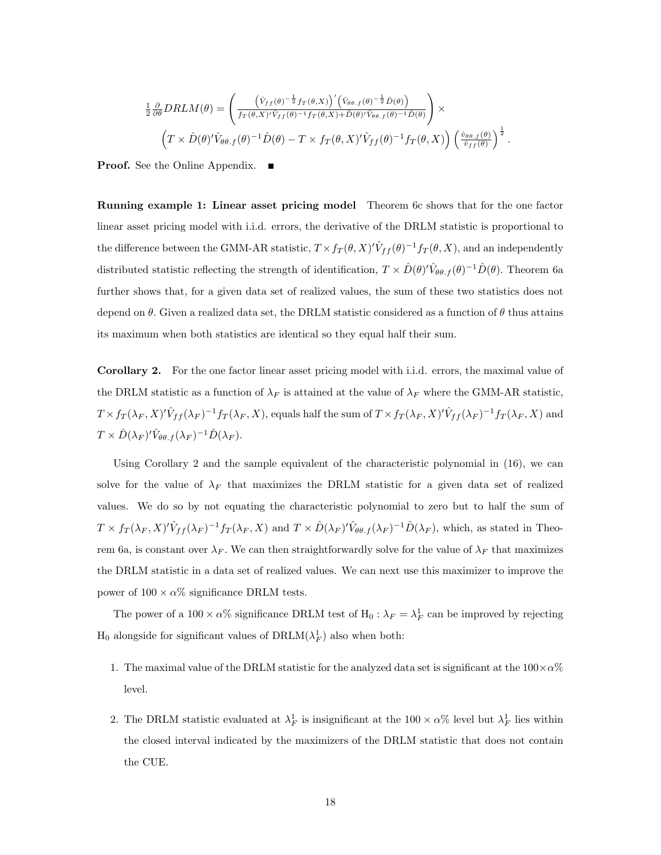$$
\frac{1}{2} \frac{\partial}{\partial \theta} DRLM(\theta) = \left( \frac{(\hat{V}_{ff}(\theta)^{-\frac{1}{2}} f_T(\theta, X))'(\hat{V}_{\theta \theta, f}(\theta)^{-\frac{1}{2}} \hat{D}(\theta))}{f_T(\theta, X)^{\prime} \hat{V}_{ff}(\theta)^{-1} f_T(\theta, X) + \hat{D}(\theta)^{\prime} \hat{V}_{\theta \theta, f}(\theta)^{-1} \hat{D}(\theta)} \right) \times \left( T \times \hat{D}(\theta)^{\prime} \hat{V}_{\theta \theta, f}(\theta)^{-1} \hat{D}(\theta) - T \times f_T(\theta, X)^{\prime} \hat{V}_{ff}(\theta)^{-1} f_T(\theta, X) \right) \left( \frac{\hat{v}_{\theta \theta, f}(\theta)}{\hat{v}_{ff}(\theta)} \right)^{\frac{1}{2}}.
$$

Proof. See the Online Appendix.

Running example 1: Linear asset pricing model Theorem 6c shows that for the one factor linear asset pricing model with i.i.d. errors, the derivative of the DRLM statistic is proportional to the difference between the GMM-AR statistic,  $T \times f_T(\theta, X)' \hat{V}_{ff}(\theta)^{-1} f_T(\theta, X)$ , and an independently distributed statistic reflecting the strength of identification,  $T \times \hat{D}(\theta)' \hat{V}_{\theta\theta.f}(\theta)^{-1} \hat{D}(\theta)$ . Theorem 6a further shows that, for a given data set of realized values, the sum of these two statistics does not depend on  $\theta$ . Given a realized data set, the DRLM statistic considered as a function of  $\theta$  thus attains its maximum when both statistics are identical so they equal half their sum.

Corollary 2. For the one factor linear asset pricing model with i.i.d. errors, the maximal value of the DRLM statistic as a function of  $\lambda_F$  is attained at the value of  $\lambda_F$  where the GMM-AR statistic,  $T \times f_T(\lambda_F, X)' \hat{V}_{ff}(\lambda_F)^{-1} f_T(\lambda_F, X)$ , equals half the sum of  $T \times f_T(\lambda_F, X)' \hat{V}_{ff}(\lambda_F)^{-1} f_T(\lambda_F, X)$  and  $T\times \hat{D}(\lambda_F)^{\prime}\hat{V}_{\theta\theta.f}(\lambda_F)^{-1}\hat{D}(\lambda_F).$ 

Using Corollary 2 and the sample equivalent of the characteristic polynomial in (16), we can solve for the value of  $\lambda_F$  that maximizes the DRLM statistic for a given data set of realized values. We do so by not equating the characteristic polynomial to zero but to half the sum of  $T \times f_T(\lambda_F, X)'\hat{V}_{ff}(\lambda_F)^{-1}f_T(\lambda_F, X)$  and  $T \times \hat{D}(\lambda_F)'\hat{V}_{\theta\theta,f}(\lambda_F)^{-1}\hat{D}(\lambda_F)$ , which, as stated in Theorem 6a, is constant over  $\lambda_F$ . We can then straightforwardly solve for the value of  $\lambda_F$  that maximizes the DRLM statistic in a data set of realized values. We can next use this maximizer to improve the power of  $100 \times \alpha\%$  significance DRLM tests.

The power of a  $100 \times \alpha\%$  significance DRLM test of  $H_0: \lambda_F = \lambda_F^1$  can be improved by rejecting  $H_0$  alongside for significant values of  $\text{DRLM}(\lambda_F^1)$  also when both:

- 1. The maximal value of the DRLM statistic for the analyzed data set is significant at the  $100\times\alpha\%$ level.
- 2. The DRLM statistic evaluated at  $\lambda_F^1$  is insignificant at the 100  $\times \alpha\%$  level but  $\lambda_F^1$  lies within the closed interval indicated by the maximizers of the DRLM statistic that does not contain the CUE.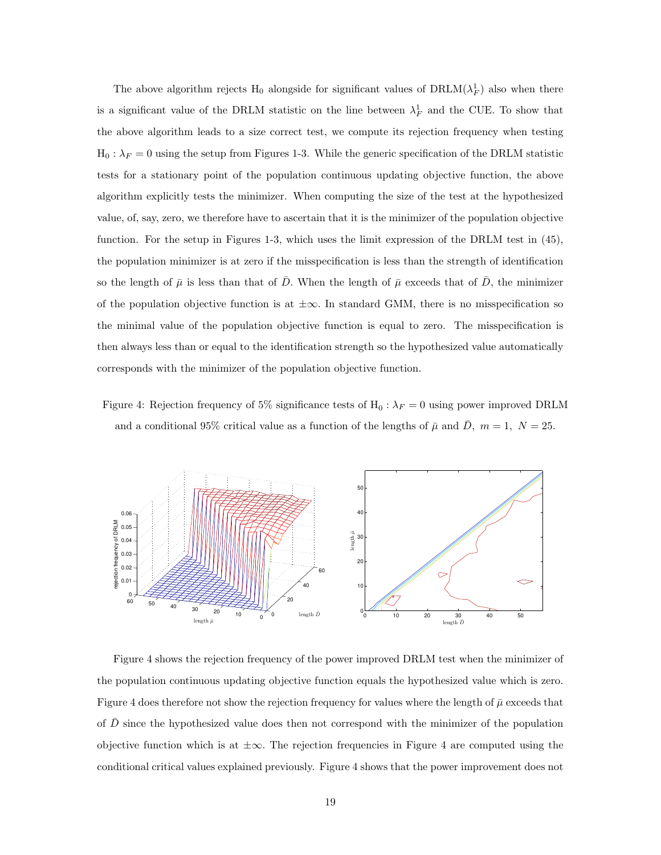The above algorithm rejects  $H_0$  alongside for significant values of  $\text{DRLM}(\lambda_F^1)$  also when there is a significant value of the DRLM statistic on the line between  $\lambda_F^1$  and the CUE. To show that the above algorithm leads to a size correct test, we compute its rejection frequency when testing  $H_0: \lambda_F = 0$  using the setup from Figures 1-3. While the generic specification of the DRLM statistic tests for a stationary point of the population continuous updating objective function, the above algorithm explicitly tests the minimizer. When computing the size of the test at the hypothesized value, of, say, zero, we therefore have to ascertain that it is the minimizer of the population objective function. For the setup in Figures 1-3, which uses the limit expression of the DRLM test in (45), the population minimizer is at zero if the misspecification is less than the strength of identification so the length of  $\bar{\mu}$  is less than that of  $\bar{D}$ . When the length of  $\bar{\mu}$  exceeds that of  $\bar{D}$ , the minimizer of the population objective function is at  $\pm \infty$ . In standard GMM, there is no misspecification so the minimal value of the population objective function is equal to zero. The misspecification is then always less than or equal to the identification strength so the hypothesized value automatically corresponds with the minimizer of the population objective function.

Figure 4: Rejection frequency of 5% significance tests of  $H_0: \lambda_F = 0$  using power improved DRLM and a conditional 95% critical value as a function of the lengths of  $\bar{\mu}$  and  $\bar{D}$ ,  $m = 1$ ,  $N = 25$ .



Figure 4 shows the rejection frequency of the power improved DRLM test when the minimizer of the population continuous updating objective function equals the hypothesized value which is zero. Figure 4 does therefore not show the rejection frequency for values where the length of  $\bar{\mu}$  exceeds that of  $\bar{D}$  since the hypothesized value does then not correspond with the minimizer of the population objective function which is at  $\pm \infty$ . The rejection frequencies in Figure 4 are computed using the conditional critical values explained previously. Figure 4 shows that the power improvement does not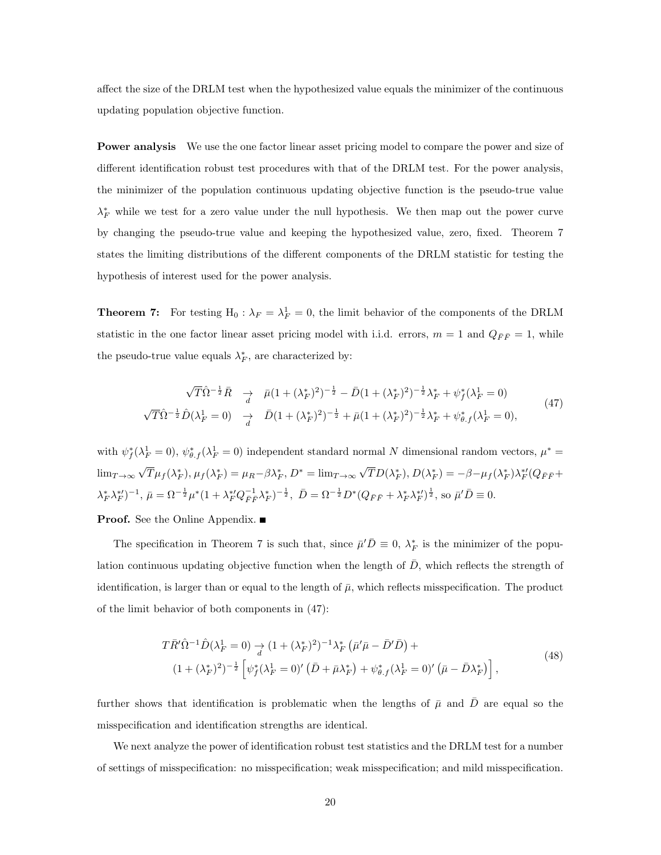affect the size of the DRLM test when the hypothesized value equals the minimizer of the continuous updating population objective function.

Power analysis We use the one factor linear asset pricing model to compare the power and size of different identification robust test procedures with that of the DRLM test. For the power analysis, the minimizer of the population continuous updating objective function is the pseudo-true value  $\lambda_F^*$  while we test for a zero value under the null hypothesis. We then map out the power curve by changing the pseudo-true value and keeping the hypothesized value, zero, fixed. Theorem 7 states the limiting distributions of the different components of the DRLM statistic for testing the hypothesis of interest used for the power analysis.

**Theorem 7:** For testing  $H_0: \lambda_F = \lambda_F^1 = 0$ , the limit behavior of the components of the DRLM statistic in the one factor linear asset pricing model with i.i.d. errors,  $m = 1$  and  $Q_{\bar{F}\bar{F}} = 1$ , while the pseudo-true value equals  $\lambda_F^*$ , are characterized by:

$$
\sqrt{T}\hat{\Omega}^{-\frac{1}{2}}\bar{R} \quad \underset{d}{\rightarrow} \quad \bar{\mu}(1+(\lambda_F^*)^2)^{-\frac{1}{2}} - \bar{D}(1+(\lambda_F^*)^2)^{-\frac{1}{2}}\lambda_F^* + \psi_f^*(\lambda_F^1 = 0)
$$
\n
$$
\sqrt{T}\hat{\Omega}^{-\frac{1}{2}}\hat{D}(\lambda_F^1 = 0) \quad \underset{d}{\rightarrow} \quad \bar{D}(1+(\lambda_F^*)^2)^{-\frac{1}{2}} + \bar{\mu}(1+(\lambda_F^*)^2)^{-\frac{1}{2}}\lambda_F^* + \psi_{\theta,f}^*(\lambda_F^1 = 0),
$$
\n
$$
(47)
$$

with  $\psi_f^*(\lambda_F^1 = 0)$ ,  $\psi_{\theta,f}^*(\lambda_F^1 = 0)$  independent standard normal N dimensional random vectors,  $\mu^* =$  $\lim_{T\to\infty}$ √  $\overline{T}\mu_f(\lambda_F^*), \mu_f(\lambda_F^*) = \mu_R - \beta \lambda_F^*, D^* = \lim_{T\to\infty} \sqrt{T}$  $\overline{TD}(\lambda_F^*), D(\lambda_F^*) = -\beta - \mu_f(\lambda_F^*)\lambda_F^{*\prime}(Q_{\bar F\bar F} +$  $(\lambda_F^* \lambda_F^{*})^{-1}, \bar{\mu} = \Omega^{-\frac{1}{2}} \mu^* (1 + \lambda_F^{*0} Q_{\bar{F}\bar{F}}^{-1} \lambda_F^*)^{-\frac{1}{2}}, \bar{D} = \Omega^{-\frac{1}{2}} D^* (Q_{\bar{F}\bar{F}} + \lambda_F^{*0} \lambda_F^{*0})^{\frac{1}{2}}, \text{ so } \bar{\mu}' \bar{D} \equiv 0.$ 

**Proof.** See the Online Appendix. ■

The specification in Theorem 7 is such that, since  $\bar{\mu}'\bar{D} \equiv 0$ ,  $\lambda_F^*$  is the minimizer of the population continuous updating objective function when the length of  $\overline{D}$ , which reflects the strength of identification, is larger than or equal to the length of  $\bar{\mu}$ , which reflects misspecification. The product of the limit behavior of both components in (47):

$$
T\bar{R}'\hat{\Omega}^{-1}\hat{D}(\lambda_F^1 = 0) \underset{d}{\to} (1 + (\lambda_F^*)^2)^{-1}\lambda_F^* \left(\bar{\mu}'\bar{\mu} - \bar{D}'\bar{D}\right) +
$$
  

$$
(1 + (\lambda_F^*)^2)^{-\frac{1}{2}} \left[\psi_f^*(\lambda_F^1 = 0)' \left(\bar{D} + \bar{\mu}\lambda_F^*\right) + \psi_{\theta,f}^*(\lambda_F^1 = 0)' \left(\bar{\mu} - \bar{D}\lambda_F^*\right)\right],
$$
 (48)

further shows that identification is problematic when the lengths of  $\bar{\mu}$  and  $\bar{D}$  are equal so the misspecification and identification strengths are identical.

We next analyze the power of identification robust test statistics and the DRLM test for a number of settings of misspecification: no misspecification; weak misspecification; and mild misspecification.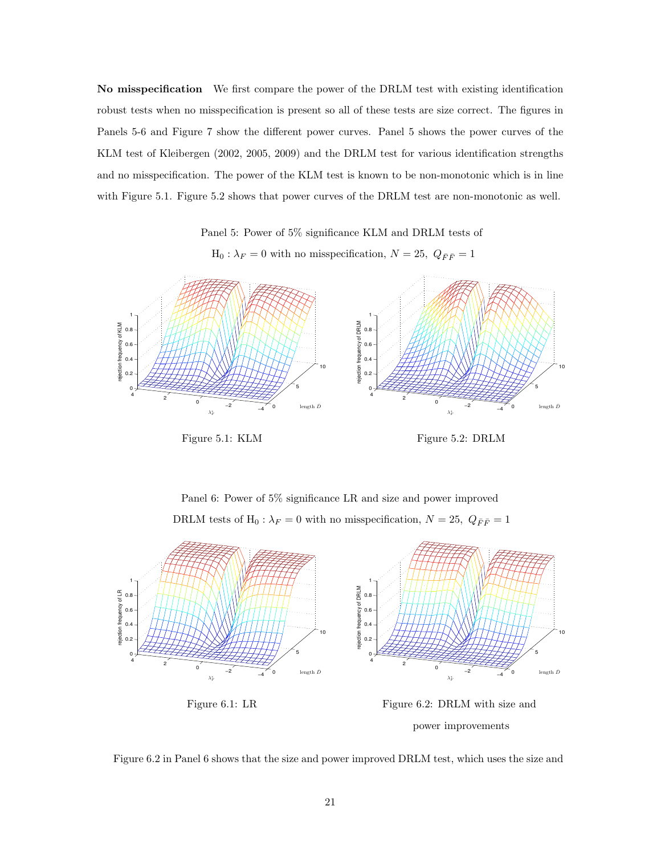No misspecification We first compare the power of the DRLM test with existing identification robust tests when no misspecification is present so all of these tests are size correct. The figures in Panels 5-6 and Figure 7 show the different power curves. Panel 5 shows the power curves of the KLM test of Kleibergen (2002, 2005, 2009) and the DRLM test for various identification strengths and no misspecification. The power of the KLM test is known to be non-monotonic which is in line with Figure 5.1. Figure 5.2 shows that power curves of the DRLM test are non-monotonic as well.

Panel 5: Power of 5% significance KLM and DRLM tests of

 $\mathrm{H}_0$  :  $\lambda_F=0$  with no misspecification,  $N=25,~Q_{\bar{F}\bar{F}}=1$ 





Panel 6: Power of 5% significance LR and size and power improved DRLM tests of  $\mathcal{H}_0$  :  $\lambda_F=0$  with no misspecification,  $N=25,~Q_{\bar{F}\bar{F}}=1$ 



power improvements

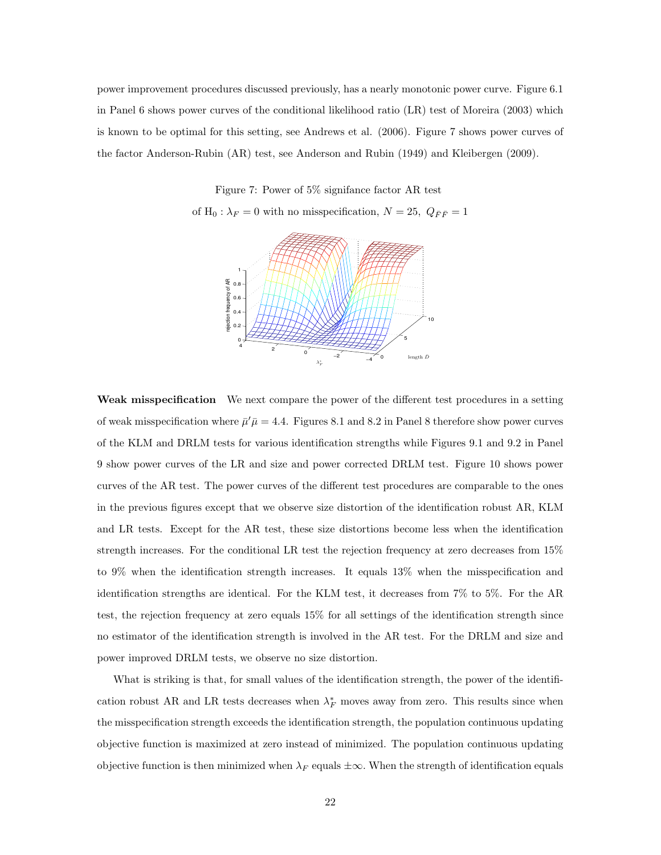power improvement procedures discussed previously, has a nearly monotonic power curve. Figure 6.1 in Panel 6 shows power curves of the conditional likelihood ratio (LR) test of Moreira (2003) which is known to be optimal for this setting, see Andrews et al. (2006). Figure 7 shows power curves of the factor Anderson-Rubin (AR) test, see Anderson and Rubin (1949) and Kleibergen (2009).

Figure 7: Power of 5% signifance factor AR test

of  $H_0$ :  $\lambda_F = 0$  with no misspecification,  $N = 25$ ,  $Q_{\bar{F}\bar{F}} = 1$ 



Weak misspecification We next compare the power of the different test procedures in a setting of weak misspecification where  $\bar{\mu}'\bar{\mu} = 4.4$ . Figures 8.1 and 8.2 in Panel 8 therefore show power curves of the KLM and DRLM tests for various identification strengths while Figures 9.1 and 9.2 in Panel 9 show power curves of the LR and size and power corrected DRLM test. Figure 10 shows power curves of the AR test. The power curves of the different test procedures are comparable to the ones in the previous figures except that we observe size distortion of the identification robust AR, KLM and LR tests. Except for the AR test, these size distortions become less when the identification strength increases. For the conditional LR test the rejection frequency at zero decreases from 15% to 9% when the identification strength increases. It equals 13% when the misspecification and identification strengths are identical. For the KLM test, it decreases from 7% to 5%. For the AR test, the rejection frequency at zero equals 15% for all settings of the identification strength since no estimator of the identification strength is involved in the AR test. For the DRLM and size and power improved DRLM tests, we observe no size distortion.

What is striking is that, for small values of the identification strength, the power of the identification robust AR and LR tests decreases when  $\lambda_F^*$  moves away from zero. This results since when the misspecification strength exceeds the identification strength, the population continuous updating objective function is maximized at zero instead of minimized. The population continuous updating objective function is then minimized when  $\lambda_F$  equals  $\pm \infty$ . When the strength of identification equals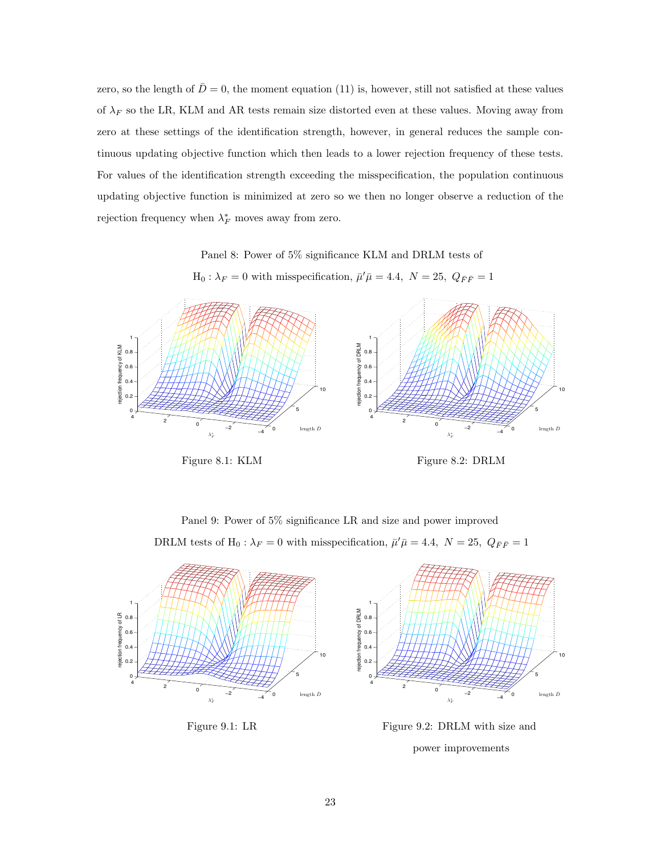zero, so the length of  $\bar{D}=0$ , the moment equation (11) is, however, still not satisfied at these values of  $\lambda_F$  so the LR, KLM and AR tests remain size distorted even at these values. Moving away from zero at these settings of the identification strength, however, in general reduces the sample continuous updating objective function which then leads to a lower rejection frequency of these tests. For values of the identification strength exceeding the misspecification, the population continuous updating objective function is minimized at zero so we then no longer observe a reduction of the rejection frequency when  $\lambda_F^*$  moves away from zero.

Panel 8: Power of 5% significance KLM and DRLM tests of

 $H_0: \lambda_F = 0$  with misspecification,  $\bar{\mu}'\bar{\mu} = 4.4, N = 25, Q_{\bar{F}\bar{F}} = 1$ 



Figure 8.1: KLM Figure 8.2: DRLM

Panel 9: Power of 5% significance LR and size and power improved DRLM tests of H<sub>0</sub>:  $\lambda_F = 0$  with misspecification,  $\bar{\mu}'\bar{\mu} = 4.4$ ,  $N = 25$ ,  $Q_{\bar{F}\bar{F}} = 1$ 





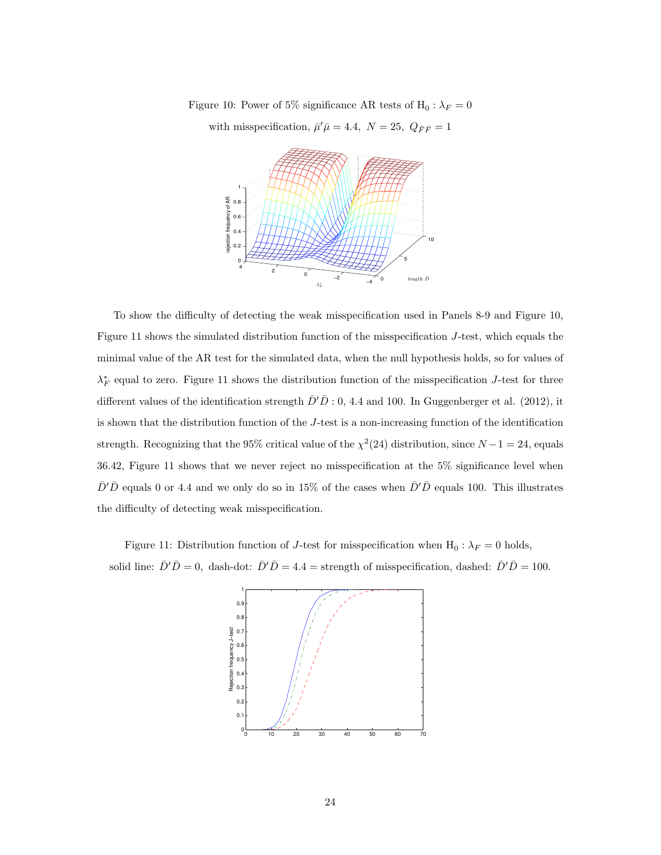Figure 10: Power of 5% significance AR tests of  $H_0: \lambda_F = 0$ with misspecification,  $\bar{\mu}'\bar{\mu} = 4.4$ ,  $N = 25$ ,  $Q_{\bar{F}\bar{F}} = 1$ 



To show the difficulty of detecting the weak misspecification used in Panels 8-9 and Figure 10, Figure 11 shows the simulated distribution function of the misspecification J-test, which equals the minimal value of the AR test for the simulated data, when the null hypothesis holds, so for values of  $\lambda_F^*$  equal to zero. Figure 11 shows the distribution function of the misspecification J-test for three different values of the identification strength  $\bar{D}'\bar{D}$  : 0, 4.4 and 100. In Guggenberger et al. (2012), it is shown that the distribution function of the J-test is a non-increasing function of the identification strength. Recognizing that the 95% critical value of the  $\chi^2(24)$  distribution, since  $N-1=24$ , equals 36.42, Figure 11 shows that we never reject no misspecification at the 5% significance level when  $\bar{D}'\bar{D}$  equals 0 or 4.4 and we only do so in 15% of the cases when  $\bar{D}'\bar{D}$  equals 100. This illustrates the difficulty of detecting weak misspecification.

Figure 11: Distribution function of *J*-test for misspecification when  $H_0: \lambda_F = 0$  holds, solid line:  $\bar{D}'\bar{D} = 0$ , dash-dot:  $\bar{D}'\bar{D} = 4.4$  = strength of misspecification, dashed:  $\bar{D}'\bar{D} = 100$ .

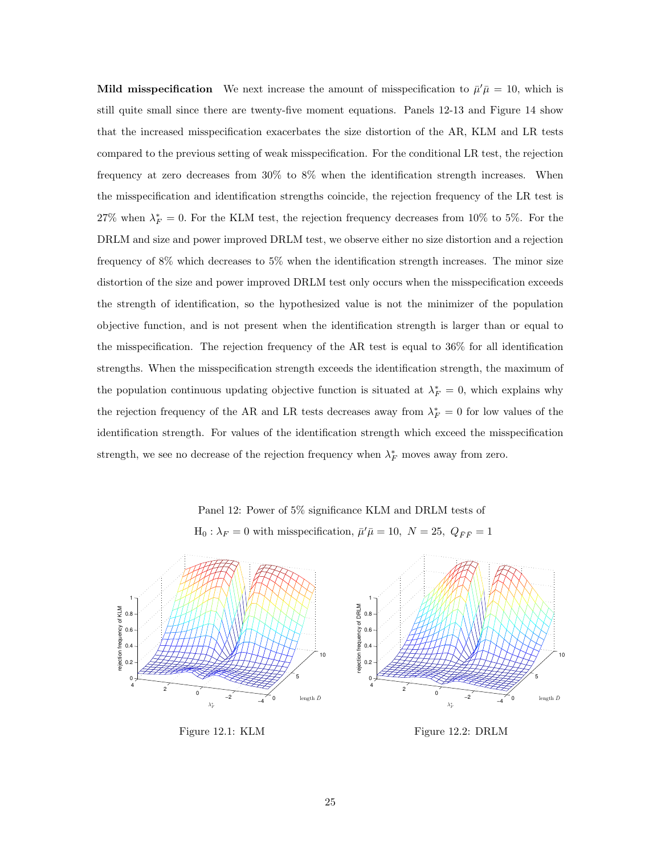**Mild misspecification** We next increase the amount of misspecification to  $\bar{\mu}'\bar{\mu} = 10$ , which is still quite small since there are twenty-five moment equations. Panels 12-13 and Figure 14 show that the increased misspecification exacerbates the size distortion of the AR, KLM and LR tests compared to the previous setting of weak misspecification. For the conditional LR test, the rejection frequency at zero decreases from 30% to 8% when the identification strength increases. When the misspecification and identification strengths coincide, the rejection frequency of the LR test is 27% when  $\lambda_F^* = 0$ . For the KLM test, the rejection frequency decreases from 10% to 5%. For the DRLM and size and power improved DRLM test, we observe either no size distortion and a rejection frequency of 8% which decreases to 5% when the identification strength increases. The minor size distortion of the size and power improved DRLM test only occurs when the misspecification exceeds the strength of identification, so the hypothesized value is not the minimizer of the population objective function, and is not present when the identification strength is larger than or equal to the misspecification. The rejection frequency of the AR test is equal to 36% for all identification strengths. When the misspecification strength exceeds the identification strength, the maximum of the population continuous updating objective function is situated at  $\lambda_F^* = 0$ , which explains why the rejection frequency of the AR and LR tests decreases away from  $\lambda_F^* = 0$  for low values of the identification strength. For values of the identification strength which exceed the misspecification strength, we see no decrease of the rejection frequency when  $\lambda_F^*$  moves away from zero.

Panel 12: Power of 5% significance KLM and DRLM tests of  $H_0: \lambda_F = 0$  with misspecification,  $\bar{\mu}'\bar{\mu} = 10, N = 25, Q_{\bar{F}\bar{F}} = 1$ 



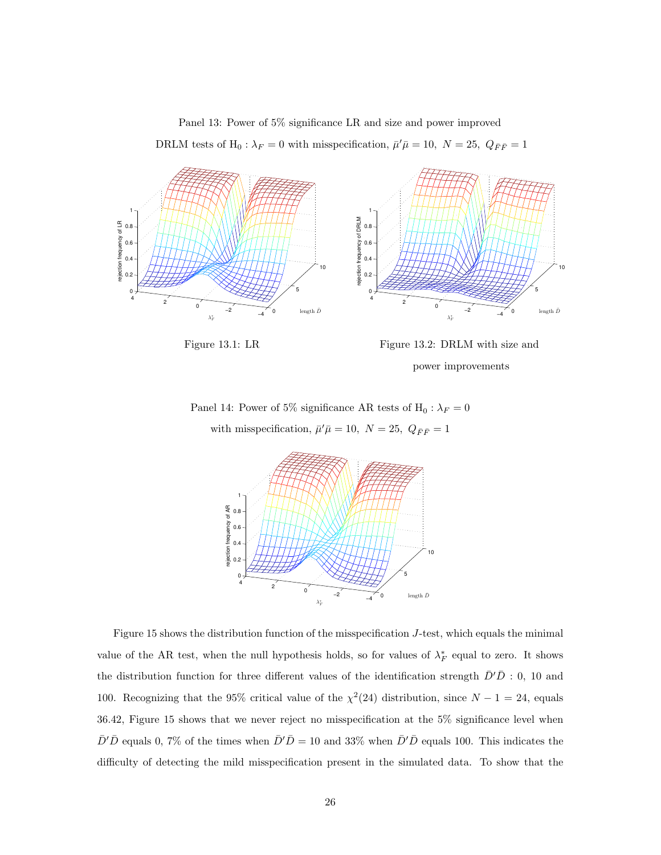Panel 13: Power of 5% significance LR and size and power improved DRLM tests of  $H_0: \lambda_F = 0$  with misspecification,  $\bar{\mu}'\bar{\mu} = 10$ ,  $N = 25$ ,  $Q_{\bar{F}\bar{F}} = 1$ 



Figure 13.1: LR Figure 13.2: DRLM with size and power improvements

Panel 14: Power of 5% significance AR tests of  $H_0: \lambda_F = 0$ with misspecification,  $\bar{\mu}'\bar{\mu} = 10$ ,  $N = 25$ ,  $Q_{\bar{F}\bar{F}} = 1$ 



Figure 15 shows the distribution function of the misspecification J-test, which equals the minimal value of the AR test, when the null hypothesis holds, so for values of  $\lambda_F^*$  equal to zero. It shows the distribution function for three different values of the identification strength  $\bar{D}'\bar{D}$  : 0, 10 and 100. Recognizing that the 95% critical value of the  $\chi^2(24)$  distribution, since  $N-1=24$ , equals 36.42, Figure 15 shows that we never reject no misspecification at the 5% significance level when  $\bar{D}'\bar{D}$  equals 0, 7% of the times when  $\bar{D}'\bar{D} = 10$  and 33% when  $\bar{D}'\bar{D}$  equals 100. This indicates the difficulty of detecting the mild misspecification present in the simulated data. To show that the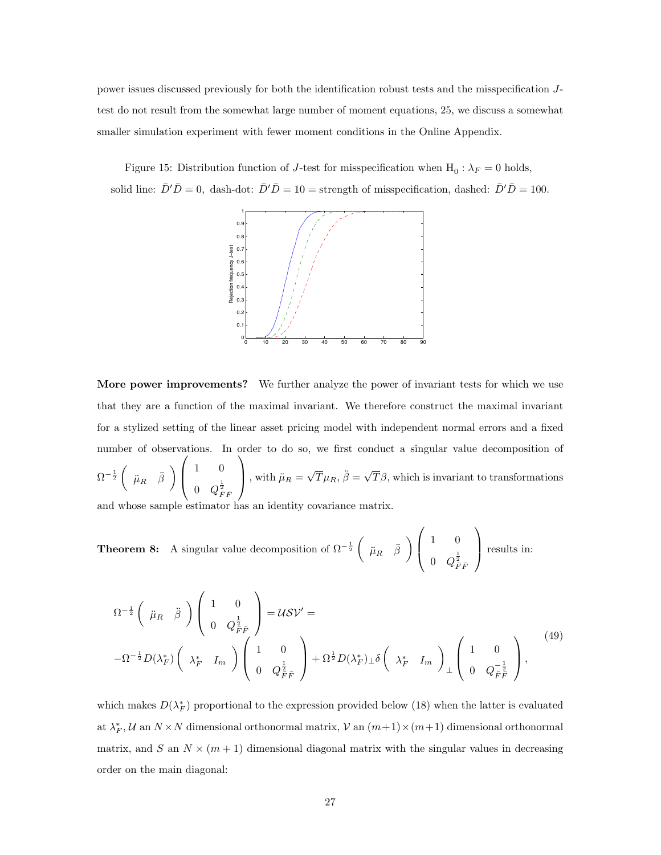power issues discussed previously for both the identification robust tests and the misspecification Jtest do not result from the somewhat large number of moment equations, 25, we discuss a somewhat smaller simulation experiment with fewer moment conditions in the Online Appendix.

Figure 15: Distribution function of *J*-test for misspecification when  $H_0: \lambda_F = 0$  holds, solid line:  $\bar{D}'\bar{D} = 0$ , dash-dot:  $\bar{D}'\bar{D} = 10 =$  strength of misspecification, dashed:  $\bar{D}'\bar{D} = 100$ .



More power improvements? We further analyze the power of invariant tests for which we use that they are a function of the maximal invariant. We therefore construct the maximal invariant for a stylized setting of the linear asset pricing model with independent normal errors and a fixed number of observations. In order to do so, we first conduct a singular value decomposition of  $\Omega^{-\frac{1}{2}}\left(\begin{array}{cc} \ddot{\mu}_R & \ddot{\beta} \end{array}\right)$  $\sqrt{ }$  $\overline{ }$ 1 0  $0\quad Q_{\bar{F}\bar{F}}^{\frac{1}{2}}$  $\setminus$ , with  $\ddot{\mu}_R =$  $\sqrt{T}\mu_R$ ,  $\ddot{\beta} = \sqrt{ }$  $T\beta$ , which is invariant to transformations

and whose sample estimator has an identity covariance matrix.

**Theorem 8:** A singular value decomposition of  $\Omega^{-\frac{1}{2}}\begin{pmatrix} \ddots & \ddots & \ddots & \ddots \\ \ddots & \ddots & \ddots & \ddots & \ddots \\ 0 & \ddots & \ddots & \ddots & \ddots \\ 0 & \ddots & \ddots & \ddots & \ddots \\ 0 & \ddots & \ddots & \ddots & \ddots \\ 0 & \ddots & \ddots & \ddots & \ddots \\ 0 & \ddots & \ddots & \ddots & \ddots \\ 0 & \ddots & \ddots & \ddots & \ddots \\ 0 & \ddots &$  $\sqrt{ }$  $\overline{ }$ 1 0  $0\quad Q_{\bar{F}\bar{F}}^{\frac{1}{2}}$  $\setminus$ results in:

$$
\Omega^{-\frac{1}{2}}\begin{pmatrix} \ddot{\mu}_{R} & \ddot{\beta} \end{pmatrix}\begin{pmatrix} 1 & 0 \\ 0 & Q_{\overline{F}\overline{F}}^{\frac{1}{2}} \end{pmatrix} = \mathcal{U}\mathcal{SV}' =
$$
\n
$$
-\Omega^{-\frac{1}{2}}D(\lambda_{F}^{*})\begin{pmatrix} \lambda_{F}^{*} & I_{m} \end{pmatrix}\begin{pmatrix} 1 & 0 \\ 0 & Q_{\overline{F}\overline{F}}^{\frac{1}{2}} \end{pmatrix} + \Omega^{\frac{1}{2}}D(\lambda_{F}^{*})\perp \delta\begin{pmatrix} \lambda_{F}^{*} & I_{m} \end{pmatrix}\perp \begin{pmatrix} 1 & 0 \\ 0 & Q_{\overline{F}\overline{F}}^{\frac{1}{2}} \end{pmatrix},
$$
\n
$$
(49)
$$

which makes  $D(\lambda_F^*)$  proportional to the expression provided below (18) when the latter is evaluated at  $\lambda_F^*$ , U an  $N \times N$  dimensional orthonormal matrix, V an  $(m+1) \times (m+1)$  dimensional orthonormal matrix, and S an  $N \times (m+1)$  dimensional diagonal matrix with the singular values in decreasing order on the main diagonal: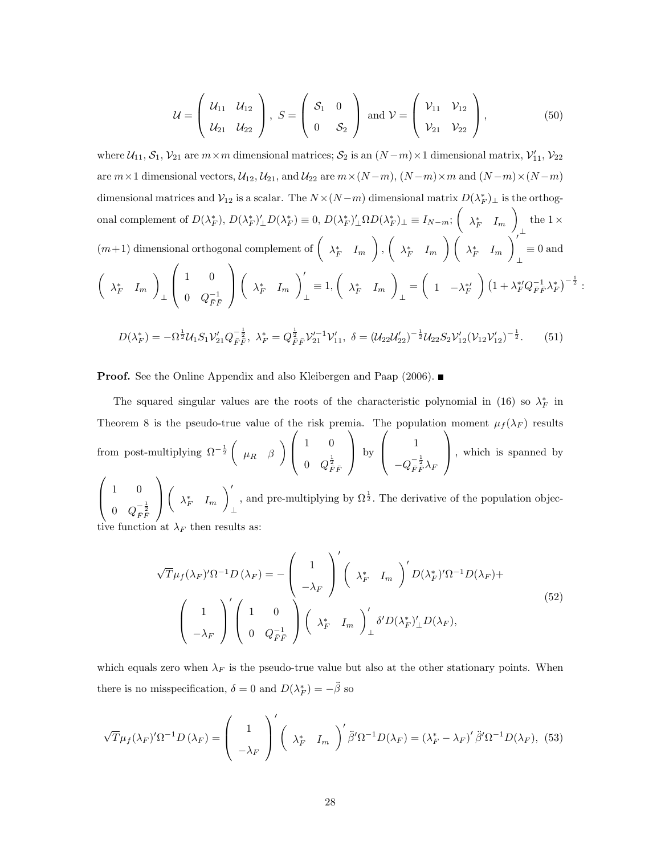$$
\mathcal{U} = \left( \begin{array}{cc} \mathcal{U}_{11} & \mathcal{U}_{12} \\ \mathcal{U}_{21} & \mathcal{U}_{22} \end{array} \right), \ S = \left( \begin{array}{cc} \mathcal{S}_{1} & 0 \\ 0 & \mathcal{S}_{2} \end{array} \right) \text{ and } \mathcal{V} = \left( \begin{array}{cc} \mathcal{V}_{11} & \mathcal{V}_{12} \\ \mathcal{V}_{21} & \mathcal{V}_{22} \end{array} \right), \tag{50}
$$

where  $U_{11}, S_1, V_{21}$  are  $m \times m$  dimensional matrices;  $S_2$  is an  $(N-m) \times 1$  dimensional matrix,  $V'_{11}, V_{22}$ are  $m \times 1$  dimensional vectors,  $U_{12}$ ,  $U_{21}$ , and  $U_{22}$  are  $m \times (N-m)$ ,  $(N-m) \times m$  and  $(N-m) \times (N-m)$ dimensional matrices and  $\mathcal{V}_{12}$  is a scalar. The  $N \times (N-m)$  dimensional matrix  $D(\lambda_F^*)_{\perp}$  is the orthogonal complement of  $D(\lambda_F^*), D(\lambda_F^*)'_{\perp} D(\lambda_F^*) \equiv 0, D(\lambda_F^*)'_{\perp} \Omega D(\lambda_F^*)_{\perp} \equiv I_{N-m};$  $\lambda_F^*$   $I_m$  $\setminus$ ⊥ the  $1 \times$  $(m+1)$  dimensional orthogonal complement of  $\begin{pmatrix} \lambda_F^* & I_m \end{pmatrix}$  $\bigg)$ ,  $\bigg($  $\lambda_F^* \quad I_m \enspace \bigg) \left( \begin{array}{cc} \lambda_F^* & I_m \end{array} \right)$  $\bigvee'$ ⊥  $\equiv 0$  and  $\sqrt{ }$  $\lambda_F^*$   $I_m$  $\setminus$ ⊥  $\sqrt{ }$  $\left\lfloor \right\rfloor$ 1 0  $0\quad Q^{-1}_{\bar{F}\bar{F}}$  $\setminus$  $\Big\}$  $\sqrt{ }$  $\lambda_F^*$   $I_m$  $\setminus'$ ⊥  $\equiv 1, ($  $\lambda_F^*$   $I_m$  $\setminus$ ⊥  $=$   $($ 1  $-\lambda_F^{*\prime}$  $\Bigg)\,\big(1+\lambda_F^{*\prime}Q_{\bar F\bar F}^{-1}\lambda_F^{*}\big)^{-\frac{1}{2}}:$  $D(\lambda_F^*) = -\Omega^{\frac{1}{2}}\mathcal{U}_1S_1\mathcal{V}_{21}'Q_{\bar{F}\bar{F}}^{-\frac{1}{2}},\,\,\lambda_F^*=Q_{\bar{F}\bar{F}}^{\frac{1}{2}}\mathcal{V}_{21}'^{-1}\mathcal{V}_{11}',\,\,\delta=(\mathcal{U}_{22}\mathcal{U}_{22}')^{-\frac{1}{2}}\mathcal{U}_{22}S_2\mathcal{V}_{12}'(\mathcal{V}_{12}\mathcal{V}_{12}')^{-\frac{1}{2}}$  $(51)$ 

**Proof.** See the Online Appendix and also Kleibergen and Paap (2006). ■

The squared singular values are the roots of the characteristic polynomial in (16) so  $\lambda_F^*$  in Theorem 8 is the pseudo-true value of the risk premia. The population moment  $\mu_f(\lambda_F)$  results from post-multiplying  $\Omega^{-\frac{1}{2}}$  $\mu_R$   $\beta$  $\setminus$  $\sqrt{ }$  $\overline{\phantom{a}}$ 1 0  $0\quad Q_{\bar{F}\bar{F}}^{\frac{1}{2}}$  $\setminus$  by  $\sqrt{ }$  $\overline{ }$ 1  $-Q_{\bar{F}\bar{\bar{F}}}^{-\frac{1}{2}}\lambda_{\bar{F}}$  $\setminus$  , which is spanned by  $\sqrt{ }$  $\overline{ }$ 1 0 0  $Q_{\bar{F}\bar{F}}^{-\frac{1}{2}}$  $\setminus$  $\Big\}$  $\sqrt{2}$  $\lambda_F^*$   $I_m$  $\setminus'$ ⊥ , and pre-multiplying by  $\Omega^{\frac{1}{2}}$ . The derivative of the population objec-

unction at  $\lambda_F$  then results as:

$$
\sqrt{T}\mu_f(\lambda_F)'\Omega^{-1}D(\lambda_F) = -\begin{pmatrix} 1\\ -\lambda_F \end{pmatrix}' \begin{pmatrix} \lambda_F^* & I_m \end{pmatrix}' D(\lambda_F^*)'\Omega^{-1}D(\lambda_F) +
$$
  

$$
\begin{pmatrix} 1\\ -\lambda_F \end{pmatrix}' \begin{pmatrix} 1 & 0\\ 0 & Q_F^{-1} \\ 0 & Q_F^{-1} \end{pmatrix} \begin{pmatrix} \lambda_F^* & I_m \end{pmatrix}'_L \delta'D(\lambda_F')'_L D(\lambda_F),
$$
 (52)

which equals zero when  $\lambda_F$  is the pseudo-true value but also at the other stationary points. When there is no misspecification,  $\delta = 0$  and  $D(\lambda_F^*) = -\ddot{\beta}$  so

$$
\sqrt{T}\mu_f(\lambda_F)'\Omega^{-1}D(\lambda_F) = \begin{pmatrix} 1 \\ -\lambda_F \end{pmatrix}' \begin{pmatrix} \lambda_F^* & I_m \end{pmatrix}' \ddot{\beta}'\Omega^{-1}D(\lambda_F) = (\lambda_F^* - \lambda_F)' \ddot{\beta}'\Omega^{-1}D(\lambda_F), (53)
$$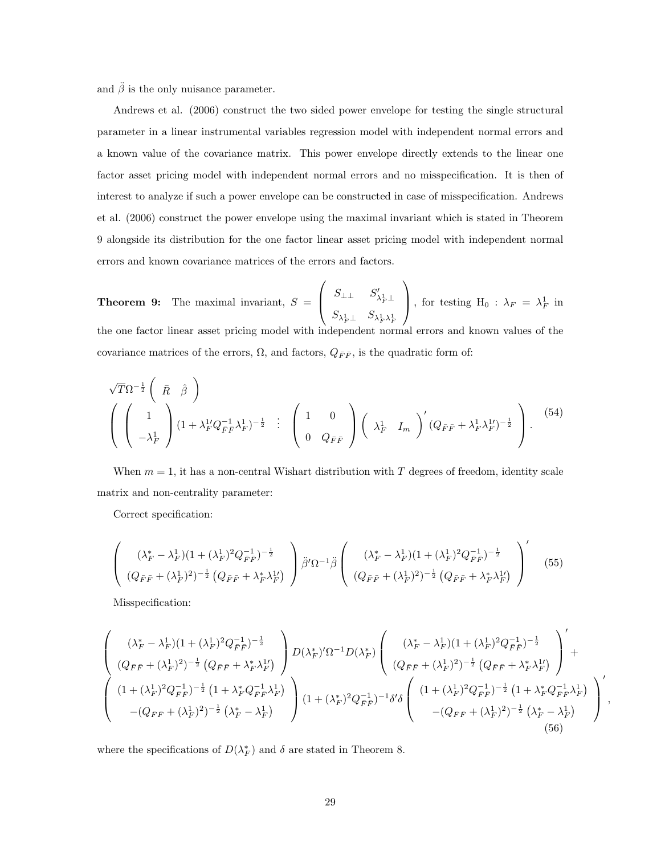and  $\ddot{\beta}$  is the only nuisance parameter.

Andrews et al. (2006) construct the two sided power envelope for testing the single structural parameter in a linear instrumental variables regression model with independent normal errors and a known value of the covariance matrix. This power envelope directly extends to the linear one factor asset pricing model with independent normal errors and no misspecification. It is then of interest to analyze if such a power envelope can be constructed in case of misspecification. Andrews et al. (2006) construct the power envelope using the maximal invariant which is stated in Theorem 9 alongside its distribution for the one factor linear asset pricing model with independent normal errors and known covariance matrices of the errors and factors.

**Theorem 9:** The maximal invariant,  $S =$  $\sqrt{ }$  $\overline{ }$  $S_{\perp\perp}$   $S_{\lambda^1_F\perp}'$  $S_{\lambda^1_F\perp}$   $S_{\lambda^1_F\lambda^1_F}$  $\setminus$ , for testing  $H_0$  :  $\lambda_F = \lambda_F^1$  in the one factor linear asset pricing model with independent normal errors and known values of the covariance matrices of the errors,  $\Omega$ , and factors,  $Q_{\bar{F}\bar{F}}$ , is the quadratic form of:

$$
\sqrt{T}\Omega^{-\frac{1}{2}}\begin{pmatrix}\n\bar{R} & \hat{\beta} \\
1 & \lambda_F^2 Q_{\bar{F}\bar{F}}^{-1} \lambda_F^1\n\end{pmatrix} = \begin{pmatrix}\n1 & 0 \\
0 & Q_{\bar{F}\bar{F}}\n\end{pmatrix}\begin{pmatrix}\n\lambda_F^1 & I_m\n\end{pmatrix} (Q_{\bar{F}\bar{F}} + \lambda_F^1 \lambda_F^1)^{-\frac{1}{2}}.\n\tag{54}
$$

When  $m = 1$ , it has a non-central Wishart distribution with T degrees of freedom, identity scale matrix and non-centrality parameter:

Correct specification:

$$
\begin{pmatrix}\n(\lambda_F^* - \lambda_F^1)(1 + (\lambda_F^1)^2 Q_{\bar{F}\bar{F}}^{-1})^{-\frac{1}{2}} \\
(Q_{\bar{F}\bar{F}} + (\lambda_F^1)^2)^{-\frac{1}{2}} (Q_{\bar{F}\bar{F}} + \lambda_F^* \lambda_F^1)\n\end{pmatrix}\n\ddot{\beta}' \Omega^{-1}\ddot{\beta}\n\begin{pmatrix}\n(\lambda_F^* - \lambda_F^1)(1 + (\lambda_F^1)^2 Q_{\bar{F}\bar{F}}^{-1})^{-\frac{1}{2}} \\
(Q_{\bar{F}\bar{F}} + (\lambda_F^1)^2)^{-\frac{1}{2}} (Q_{\bar{F}\bar{F}} + \lambda_F^* \lambda_F^1)\n\end{pmatrix}'\n\tag{55}
$$

Misspecification:

$$
\begin{pmatrix}\n(\lambda_F^* - \lambda_F^1)(1 + (\lambda_F^1)^2 Q_{\bar{F}\bar{F}}^{-1})^{-\frac{1}{2}} \\
(Q_{\bar{F}\bar{F}} + (\lambda_F^1)^2)^{-\frac{1}{2}} (Q_{\bar{F}\bar{F}} + \lambda_F^* \lambda_F^1) \\
(1 + (\lambda_F^1)^2 Q_{\bar{F}\bar{F}}^{-1})^{-\frac{1}{2}} (1 + \lambda_F^* Q_{\bar{F}\bar{F}}^{-1} \lambda_F^1) \\
(1 + (\lambda_F^1)^2 Q_{\bar{F}\bar{F}}^{-1})^{-\frac{1}{2}} (1 + \lambda_F^* Q_{\bar{F}\bar{F}}^{-1} \lambda_F^1) \\
-(Q_{\bar{F}\bar{F}} + (\lambda_F^1)^2)^{-\frac{1}{2}} (1 + \lambda_F^* Q_{\bar{F}\bar{F}}^{-1} \lambda_F^1) \\
-(Q_{\bar{F}\bar{F}} + (\lambda_F^1)^2)^{-\frac{1}{2}} (1 + \lambda_F^* Q_{\bar{F}\bar{F}}^{-1} \lambda_F^1) \\
(1 + (\lambda_F^*)^2 Q_{\bar{F}\bar{F}}^{-1})^{-1} \delta' \delta \begin{pmatrix}\n(1 + (\lambda_F^1)^2 Q_{\bar{F}\bar{F}}^{-1})^{-\frac{1}{2}} (1 + \lambda_F^* Q_{\bar{F}\bar{F}}^{-1} \lambda_F^1) \\
-(Q_{\bar{F}\bar{F}} + (\lambda_F^1)^2)^{-\frac{1}{2}} (1 + \lambda_F^* Q_{\bar{F}\bar{F}}^{-1} \lambda_F^1) \\
-(Q_{\bar{F}\bar{F}} + (\lambda_F^1)^2)^{-\frac{1}{2}} (1 + \lambda_F^* Q_{\bar{F}\bar{F}}^{-1} \lambda_F^1)\n\end{pmatrix}^\prime (56)
$$

,

where the specifications of  $D(\lambda_F^*)$  and  $\delta$  are stated in Theorem 8.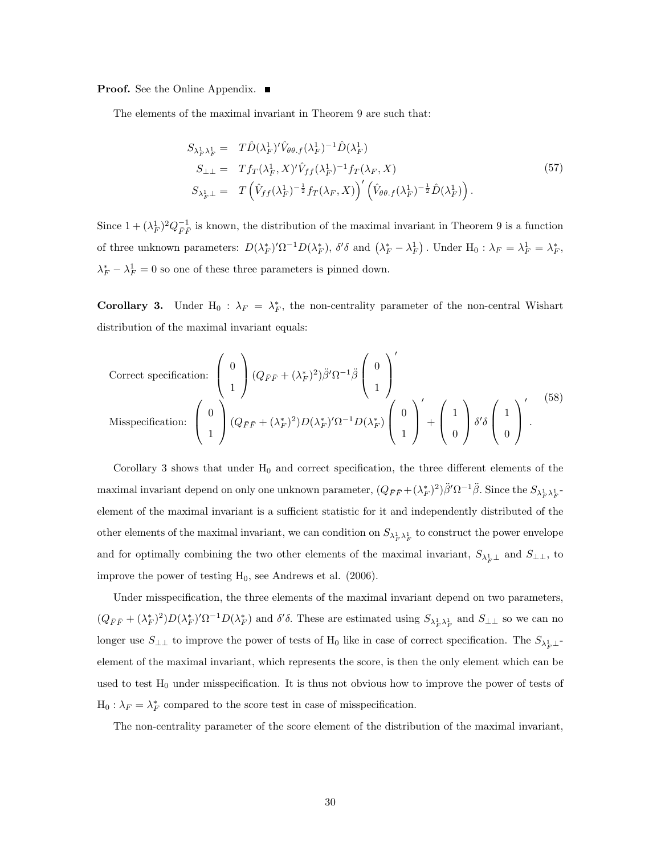**Proof.** See the Online Appendix. ■

The elements of the maximal invariant in Theorem 9 are such that:

$$
S_{\lambda_F^1 \lambda_F^1} = T \hat{D}(\lambda_F^1)^{\prime} \hat{V}_{\theta\theta,f}(\lambda_F^1)^{-1} \hat{D}(\lambda_F^1)
$$
  
\n
$$
S_{\perp \perp} = T f_T(\lambda_F^1, X)^{\prime} \hat{V}_{ff}(\lambda_F^1)^{-1} f_T(\lambda_F, X)
$$
  
\n
$$
S_{\lambda_F^1 \perp} = T \left( \hat{V}_{ff}(\lambda_F^1)^{-\frac{1}{2}} f_T(\lambda_F, X) \right)^{\prime} \left( \hat{V}_{\theta\theta,f}(\lambda_F^1)^{-\frac{1}{2}} \hat{D}(\lambda_F^1) \right).
$$
\n
$$
(57)
$$

Since  $1 + (\lambda_F^1)^2 Q_{\bar{F}\bar{F}}^{-1}$  is known, the distribution of the maximal invariant in Theorem 9 is a function of three unknown parameters:  $D(\lambda_F^*)'\Omega^{-1}D(\lambda_F^*)$ ,  $\delta'\delta$  and  $(\lambda_F^* - \lambda_F^1)$ . Under  $H_0: \lambda_F = \lambda_F^1 = \lambda_F^*$ ,  $\lambda_F^* - \lambda_F^1 = 0$  so one of these three parameters is pinned down.

**Corollary 3.** Under  $H_0$ :  $\lambda_F = \lambda_F^*$ , the non-centrality parameter of the non-central Wishart distribution of the maximal invariant equals:

Correct specification: 
$$
\begin{pmatrix} 0 \\ 1 \end{pmatrix} (Q_{\bar{F}\bar{F}} + (\lambda_F^*)^2) \ddot{\beta}' \Omega^{-1} \ddot{\beta} \begin{pmatrix} 0 \\ 1 \end{pmatrix}'
$$
  
Misspecification: 
$$
\begin{pmatrix} 0 \\ 1 \end{pmatrix} (Q_{\bar{F}\bar{F}} + (\lambda_F^*)^2) D(\lambda_F^*)' \Omega^{-1} D(\lambda_F^*) \begin{pmatrix} 0 \\ 1 \end{pmatrix}' + \begin{pmatrix} 1 \\ 0 \end{pmatrix} \delta' \delta \begin{pmatrix} 1 \\ 0 \end{pmatrix}'.
$$
 (58)

Corollary 3 shows that under  $H_0$  and correct specification, the three different elements of the maximal invariant depend on only one unknown parameter,  $(Q_{\bar{F}\bar{F}} + (\lambda_F^*)^2)\ddot{\beta}'\Omega^{-1}\ddot{\beta}$ . Since the  $S_{\lambda_F^1\lambda_F^1}$ element of the maximal invariant is a sufficient statistic for it and independently distributed of the other elements of the maximal invariant, we can condition on  $S_{\lambda_F^1 \lambda_F^1}$  to construct the power envelope and for optimally combining the two other elements of the maximal invariant,  $S_{\lambda_F^1 \perp}$  and  $S_{\perp \perp}$ , to improve the power of testing  $H_0$ , see Andrews et al. (2006).

Under misspecification, the three elements of the maximal invariant depend on two parameters,  $(Q_{\bar{F}\bar{F}}+(\lambda_F^*)^2)D(\lambda_F^*)^{\prime}\Omega^{-1}D(\lambda_F^*)$  and  $\delta'\delta$ . These are estimated using  $S_{\lambda_F^1\lambda_F^1}$  and  $S_{\perp\perp}$  so we can no longer use  $S_{\perp\perp}$  to improve the power of tests of H<sub>0</sub> like in case of correct specification. The  $S_{\lambda_F^1\perp}$ element of the maximal invariant, which represents the score, is then the only element which can be used to test  $H_0$  under misspecification. It is thus not obvious how to improve the power of tests of  $H_0: \lambda_F = \lambda_F^*$  compared to the score test in case of misspecification.

The non-centrality parameter of the score element of the distribution of the maximal invariant,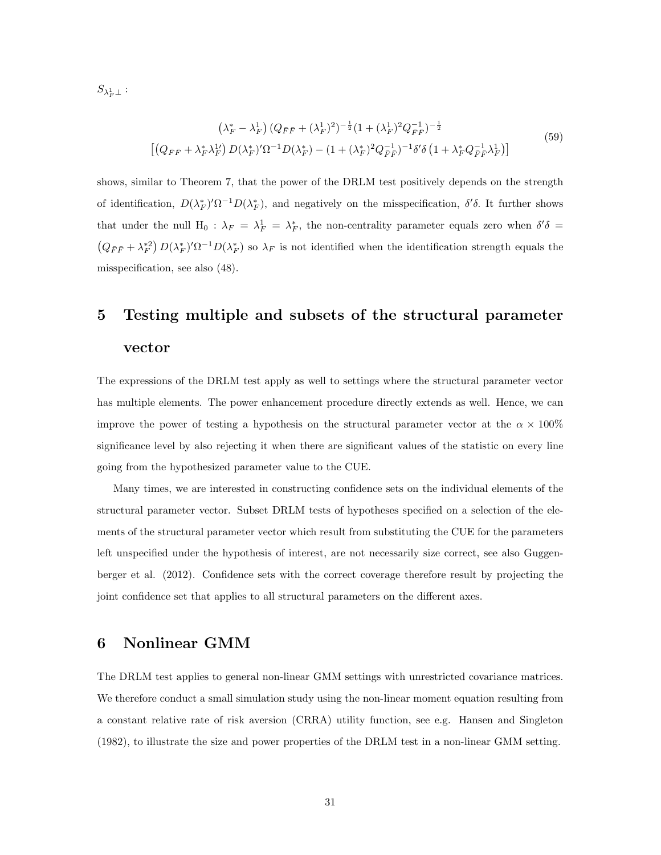$S_{\lambda^1_F\perp}$  :

$$
\left(\lambda_F^* - \lambda_F^1\right) \left(Q_{\bar{F}\bar{F}} + (\lambda_F^1)^2\right)^{-\frac{1}{2}} \left(1 + (\lambda_F^1)^2 Q_{\bar{F}\bar{F}}^{-1}\right)^{-\frac{1}{2}} \n\left[\left(Q_{\bar{F}\bar{F}} + \lambda_F^* \lambda_F^{1\prime}\right) D(\lambda_F^*)^{\prime} \Omega^{-1} D(\lambda_F^*) - \left(1 + (\lambda_F^*)^2 Q_{\bar{F}\bar{F}}^{-1}\right)^{-1} \delta^{\prime} \delta \left(1 + \lambda_F^* Q_{\bar{F}\bar{F}}^{-1} \lambda_F^{1}\right)\right]
$$
\n
$$
(59)
$$

shows, similar to Theorem 7, that the power of the DRLM test positively depends on the strength of identification,  $D(\lambda_F^*)' \Omega^{-1} D(\lambda_F^*)$ , and negatively on the misspecification,  $\delta' \delta$ . It further shows that under the null  $H_0$ :  $\lambda_F = \lambda_F^1 = \lambda_F^*$ , the non-centrality parameter equals zero when  $\delta' \delta =$  $(Q_{\bar{F}\bar{F}}+\lambda_F^{*2}) D(\lambda_F^*)^{\prime}\Omega^{-1}D(\lambda_F^*)$  so  $\lambda_F$  is not identified when the identification strength equals the misspecification, see also (48).

## 5 Testing multiple and subsets of the structural parameter vector

The expressions of the DRLM test apply as well to settings where the structural parameter vector has multiple elements. The power enhancement procedure directly extends as well. Hence, we can improve the power of testing a hypothesis on the structural parameter vector at the  $\alpha \times 100\%$ significance level by also rejecting it when there are significant values of the statistic on every line going from the hypothesized parameter value to the CUE.

Many times, we are interested in constructing confidence sets on the individual elements of the structural parameter vector. Subset DRLM tests of hypotheses specified on a selection of the elements of the structural parameter vector which result from substituting the CUE for the parameters left unspecified under the hypothesis of interest, are not necessarily size correct, see also Guggenberger et al. (2012). Confidence sets with the correct coverage therefore result by projecting the joint confidence set that applies to all structural parameters on the different axes.

### 6 Nonlinear GMM

The DRLM test applies to general non-linear GMM settings with unrestricted covariance matrices. We therefore conduct a small simulation study using the non-linear moment equation resulting from a constant relative rate of risk aversion (CRRA) utility function, see e.g. Hansen and Singleton (1982), to illustrate the size and power properties of the DRLM test in a non-linear GMM setting.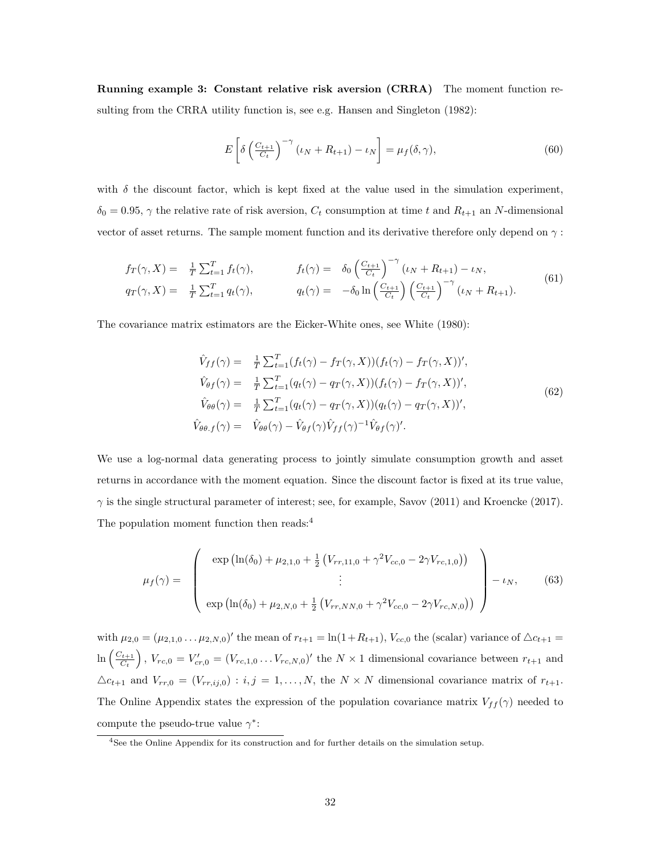Running example 3: Constant relative risk aversion (CRRA) The moment function resulting from the CRRA utility function is, see e.g. Hansen and Singleton (1982):

$$
E\left[\delta\left(\frac{C_{t+1}}{C_t}\right)^{-\gamma}\left(\iota_N + R_{t+1}\right) - \iota_N\right] = \mu_f(\delta, \gamma),\tag{60}
$$

with  $\delta$  the discount factor, which is kept fixed at the value used in the simulation experiment,  $\delta_0 = 0.95$ ,  $\gamma$  the relative rate of risk aversion,  $C_t$  consumption at time t and  $R_{t+1}$  an N-dimensional vector of asset returns. The sample moment function and its derivative therefore only depend on  $\gamma$ :

$$
f_T(\gamma, X) = \frac{1}{T} \sum_{t=1}^T f_t(\gamma), \qquad f_t(\gamma) = \delta_0 \left( \frac{C_{t+1}}{C_t} \right)^{-\gamma} (\iota_N + R_{t+1}) - \iota_N, q_T(\gamma, X) = \frac{1}{T} \sum_{t=1}^T q_t(\gamma), \qquad q_t(\gamma) = -\delta_0 \ln \left( \frac{C_{t+1}}{C_t} \right) \left( \frac{C_{t+1}}{C_t} \right)^{-\gamma} (\iota_N + R_{t+1}).
$$
 (61)

The covariance matrix estimators are the Eicker-White ones, see White (1980):

$$
\hat{V}_{ff}(\gamma) = \frac{1}{T} \sum_{t=1}^{T} (f_t(\gamma) - f_T(\gamma, X))(f_t(\gamma) - f_T(\gamma, X))',
$$
\n
$$
\hat{V}_{\theta f}(\gamma) = \frac{1}{T} \sum_{t=1}^{T} (q_t(\gamma) - q_T(\gamma, X))(f_t(\gamma) - f_T(\gamma, X))',
$$
\n
$$
\hat{V}_{\theta \theta}(\gamma) = \frac{1}{T} \sum_{t=1}^{T} (q_t(\gamma) - q_T(\gamma, X))(q_t(\gamma) - q_T(\gamma, X))',
$$
\n
$$
\hat{V}_{\theta \theta, f}(\gamma) = \hat{V}_{\theta \theta}(\gamma) - \hat{V}_{\theta f}(\gamma) \hat{V}_{ff}(\gamma)^{-1} \hat{V}_{\theta f}(\gamma)'.
$$
\n(62)

We use a log-normal data generating process to jointly simulate consumption growth and asset returns in accordance with the moment equation. Since the discount factor is fixed at its true value,  $\gamma$  is the single structural parameter of interest; see, for example, Savov (2011) and Kroencke (2017). The population moment function then reads:<sup>4</sup>

$$
\mu_f(\gamma) = \begin{pmatrix} \exp\left(\ln(\delta_0) + \mu_{2,1,0} + \frac{1}{2} \left( V_{rr,11,0} + \gamma^2 V_{cc,0} - 2\gamma V_{rc,1,0} \right) \right) \\ \vdots \\ \exp\left(\ln(\delta_0) + \mu_{2,N,0} + \frac{1}{2} \left( V_{rr,NN,0} + \gamma^2 V_{cc,0} - 2\gamma V_{rc,N,0} \right) \right) \end{pmatrix} - \iota_N, \qquad (63)
$$

with  $\mu_{2,0} = (\mu_{2,1,0} \dots \mu_{2,N,0})'$  the mean of  $r_{t+1} = \ln(1 + R_{t+1}), V_{cc,0}$  the (scalar) variance of  $\Delta c_{t+1} =$  $\ln\left(\frac{C_{t+1}}{C}\right)$  $\left(C_{t+1}\atop C_t\right)$ ,  $V_{rc,0} = V'_{cr,0} = (V_{rc,1,0} \ldots V_{rc,N,0})'$  the  $N \times 1$  dimensional covariance between  $r_{t+1}$  and  $\Delta c_{t+1}$  and  $V_{rr,0} = (V_{rr,ij,0}) : i, j = 1,...,N$ , the  $N \times N$  dimensional covariance matrix of  $r_{t+1}$ . The Online Appendix states the expression of the population covariance matrix  $V_{ff}(\gamma)$  needed to compute the pseudo-true value  $\gamma^*$ :

<sup>4</sup>See the Online Appendix for its construction and for further details on the simulation setup.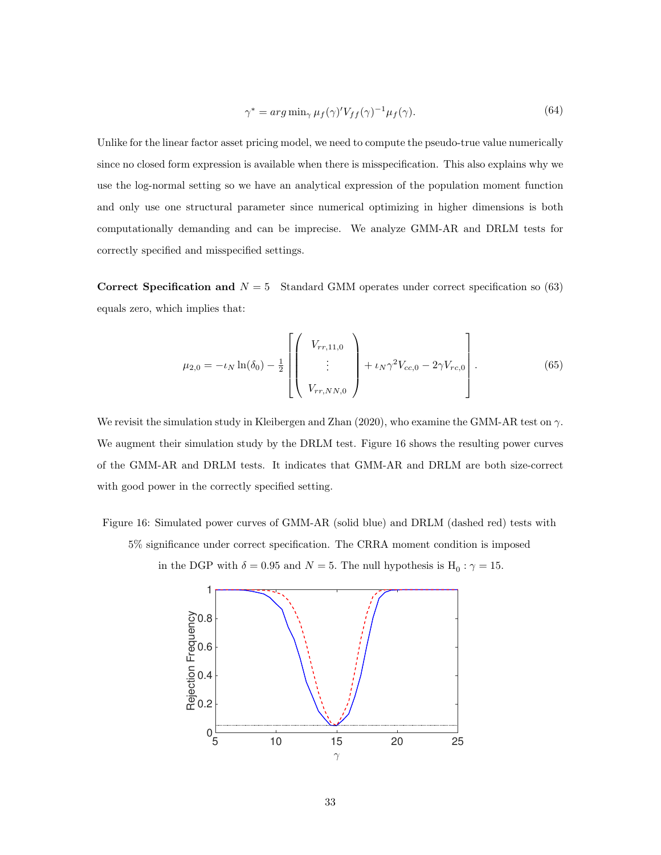$$
\gamma^* = \arg \min_{\gamma} \mu_f(\gamma)' V_{ff}(\gamma)^{-1} \mu_f(\gamma). \tag{64}
$$

Unlike for the linear factor asset pricing model, we need to compute the pseudo-true value numerically since no closed form expression is available when there is misspecification. This also explains why we use the log-normal setting so we have an analytical expression of the population moment function and only use one structural parameter since numerical optimizing in higher dimensions is both computationally demanding and can be imprecise. We analyze GMM-AR and DRLM tests for correctly specified and misspecified settings.

Correct Specification and  $N = 5$  Standard GMM operates under correct specification so (63) equals zero, which implies that:

$$
\mu_{2,0} = -\iota_N \ln(\delta_0) - \frac{1}{2} \left[ \begin{pmatrix} V_{rr,11,0} \\ \vdots \\ V_{rr,NN,0} \end{pmatrix} + \iota_N \gamma^2 V_{cc,0} - 2\gamma V_{rc,0} \right].
$$
\n(65)

We revisit the simulation study in Kleibergen and Zhan (2020), who examine the GMM-AR test on  $\gamma$ . We augment their simulation study by the DRLM test. Figure 16 shows the resulting power curves of the GMM-AR and DRLM tests. It indicates that GMM-AR and DRLM are both size-correct with good power in the correctly specified setting.

Figure 16: Simulated power curves of GMM-AR (solid blue) and DRLM (dashed red) tests with 5% significance under correct specification. The CRRA moment condition is imposed

in the DGP with  $\delta = 0.95$  and  $N = 5$ . The null hypothesis is  $H_0: \gamma = 15$ .

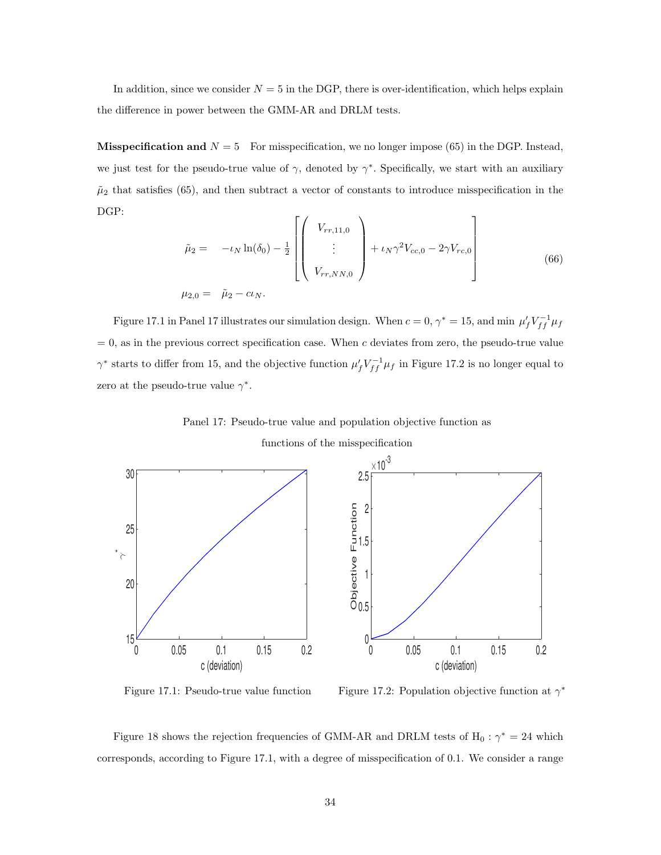In addition, since we consider  $N = 5$  in the DGP, there is over-identification, which helps explain the difference in power between the GMM-AR and DRLM tests.

**Misspecification and**  $N = 5$  For misspecification, we no longer impose (65) in the DGP. Instead, we just test for the pseudo-true value of  $\gamma$ , denoted by  $\gamma^*$ . Specifically, we start with an auxiliary  $\tilde{\mu}_2$  that satisfies (65), and then subtract a vector of constants to introduce misspecification in the DGP:

$$
\tilde{\mu}_2 = -\iota_N \ln(\delta_0) - \frac{1}{2} \left[ \begin{pmatrix} V_{rr,11,0} \\ \vdots \\ V_{rr,NN,0} \end{pmatrix} + \iota_N \gamma^2 V_{cc,0} - 2\gamma V_{rc,0} \right]
$$
\n(66)  
\n
$$
\mu_{2,0} = \tilde{\mu}_2 - c\iota_N.
$$

Figure 17.1 in Panel 17 illustrates our simulation design. When  $c = 0, \gamma^* = 15$ , and min  $\mu_f' V_{ff}^{-1} \mu_f$  $= 0$ , as in the previous correct specification case. When c deviates from zero, the pseudo-true value  $\gamma^*$  starts to differ from 15, and the objective function  $\mu'_f V_{ff}^{-1} \mu_f$  in Figure 17.2 is no longer equal to zero at the pseudo-true value  $\gamma^*$ .

Panel 17: Pseudo-true value and population objective function as

functions of the misspecification



Figure 17.1: Pseudo-true value function Figure 17.2: Population objective function at  $\gamma^*$ 

Figure 18 shows the rejection frequencies of GMM-AR and DRLM tests of  $H_0: \gamma^* = 24$  which corresponds, according to Figure 17.1, with a degree of misspecification of 0.1. We consider a range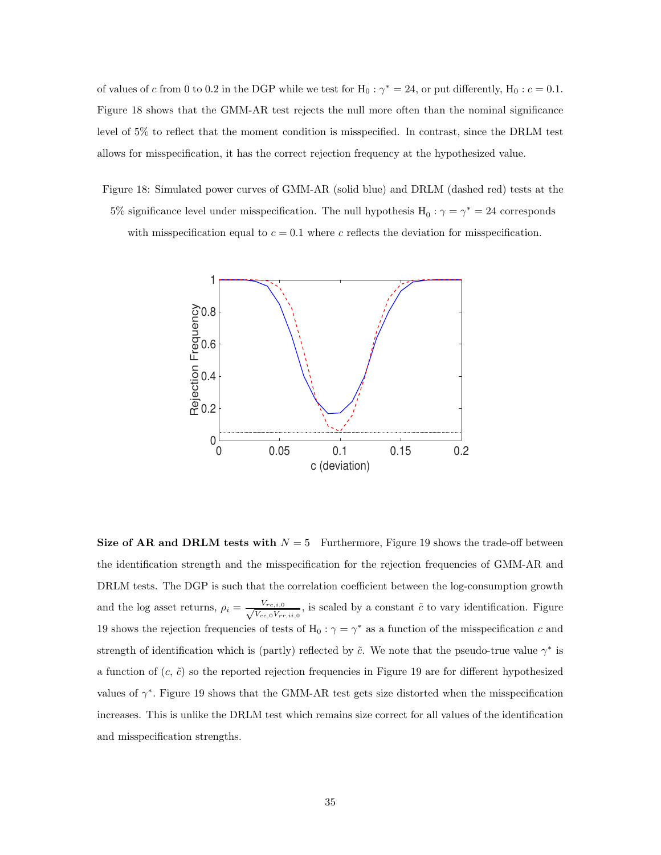of values of c from 0 to 0.2 in the DGP while we test for  $H_0$ :  $\gamma^* = 24$ , or put differently,  $H_0$ :  $c = 0.1$ . Figure 18 shows that the GMM-AR test rejects the null more often than the nominal significance level of 5% to reflect that the moment condition is misspecified. In contrast, since the DRLM test allows for misspecification, it has the correct rejection frequency at the hypothesized value.

Figure 18: Simulated power curves of GMM-AR (solid blue) and DRLM (dashed red) tests at the 5% significance level under misspecification. The null hypothesis  $H_0: \gamma = \gamma^* = 24$  corresponds with misspecification equal to  $c = 0.1$  where c reflects the deviation for misspecification.



Size of AR and DRLM tests with  $N = 5$  Furthermore, Figure 19 shows the trade-off between the identification strength and the misspecification for the rejection frequencies of GMM-AR and DRLM tests. The DGP is such that the correlation coefficient between the log-consumption growth and the log asset returns,  $\rho_i = \frac{V_{rc,i,0}}{\sqrt{V_{cav}}}$  $\frac{V_{rc,i,0}}{V_{cc,0}V_{rr,i,i,0}}$ , is scaled by a constant  $\tilde{c}$  to vary identification. Figure 19 shows the rejection frequencies of tests of H<sub>0</sub> :  $\gamma = \gamma^*$  as a function of the misspecification c and strength of identification which is (partly) reflected by  $\tilde{c}$ . We note that the pseudo-true value  $\gamma^*$  is a function of  $(c, \tilde{c})$  so the reported rejection frequencies in Figure 19 are for different hypothesized values of  $\gamma^*$ . Figure 19 shows that the GMM-AR test gets size distorted when the misspecification increases. This is unlike the DRLM test which remains size correct for all values of the identification and misspecification strengths.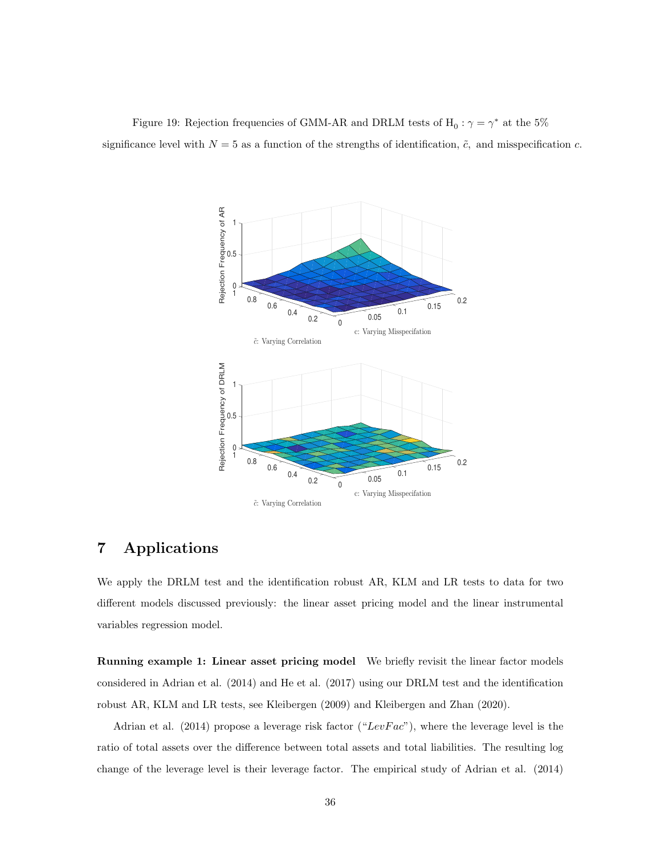Figure 19: Rejection frequencies of GMM-AR and DRLM tests of  $\mathrm{H}_0: \gamma = \gamma^*$  at the 5% significance level with  $N = 5$  as a function of the strengths of identification,  $\tilde{c}$ , and misspecification c.



### 7 Applications

We apply the DRLM test and the identification robust AR, KLM and LR tests to data for two different models discussed previously: the linear asset pricing model and the linear instrumental variables regression model.

Running example 1: Linear asset pricing model We briefly revisit the linear factor models considered in Adrian et al. (2014) and He et al. (2017) using our DRLM test and the identification robust AR, KLM and LR tests, see Kleibergen (2009) and Kleibergen and Zhan (2020).

Adrian et al. (2014) propose a leverage risk factor (" $LevFac$ "), where the leverage level is the ratio of total assets over the difference between total assets and total liabilities. The resulting log change of the leverage level is their leverage factor. The empirical study of Adrian et al. (2014)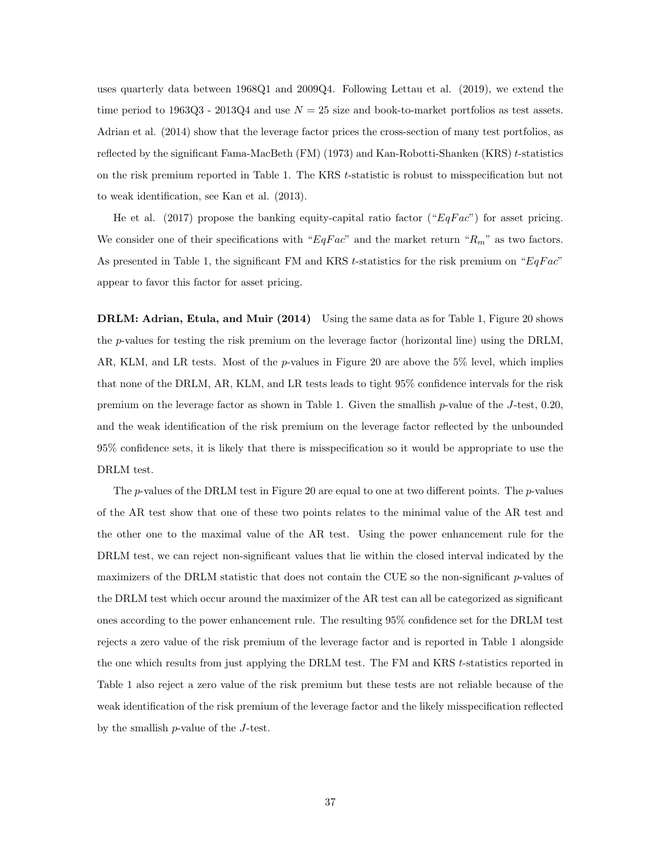uses quarterly data between 1968Q1 and 2009Q4. Following Lettau et al. (2019), we extend the time period to 1963Q3 - 2013Q4 and use  $N = 25$  size and book-to-market portfolios as test assets. Adrian et al. (2014) show that the leverage factor prices the cross-section of many test portfolios, as reflected by the significant Fama-MacBeth (FM) (1973) and Kan-Robotti-Shanken (KRS) t-statistics on the risk premium reported in Table 1. The KRS t-statistic is robust to misspecification but not to weak identification, see Kan et al. (2013).

He et al. (2017) propose the banking equity-capital ratio factor (" $EqFac"$ ) for asset pricing. We consider one of their specifications with " $EqFac$ " and the market return " $R_m$ " as two factors. As presented in Table 1, the significant FM and KRS t-statistics for the risk premium on " $EqFac$ " appear to favor this factor for asset pricing.

DRLM: Adrian, Etula, and Muir (2014) Using the same data as for Table 1, Figure 20 shows the p-values for testing the risk premium on the leverage factor (horizontal line) using the DRLM, AR, KLM, and LR tests. Most of the *p*-values in Figure 20 are above the 5% level, which implies that none of the DRLM, AR, KLM, and LR tests leads to tight 95% confidence intervals for the risk premium on the leverage factor as shown in Table 1. Given the smallish p-value of the J-test, 0.20, and the weak identification of the risk premium on the leverage factor reflected by the unbounded 95% confidence sets, it is likely that there is misspecification so it would be appropriate to use the DRLM test.

The p-values of the DRLM test in Figure 20 are equal to one at two different points. The p-values of the AR test show that one of these two points relates to the minimal value of the AR test and the other one to the maximal value of the AR test. Using the power enhancement rule for the DRLM test, we can reject non-significant values that lie within the closed interval indicated by the maximizers of the DRLM statistic that does not contain the CUE so the non-significant  $p$ -values of the DRLM test which occur around the maximizer of the AR test can all be categorized as significant ones according to the power enhancement rule. The resulting 95% confidence set for the DRLM test rejects a zero value of the risk premium of the leverage factor and is reported in Table 1 alongside the one which results from just applying the DRLM test. The FM and KRS t-statistics reported in Table 1 also reject a zero value of the risk premium but these tests are not reliable because of the weak identification of the risk premium of the leverage factor and the likely misspecification reflected by the smallish p-value of the J-test.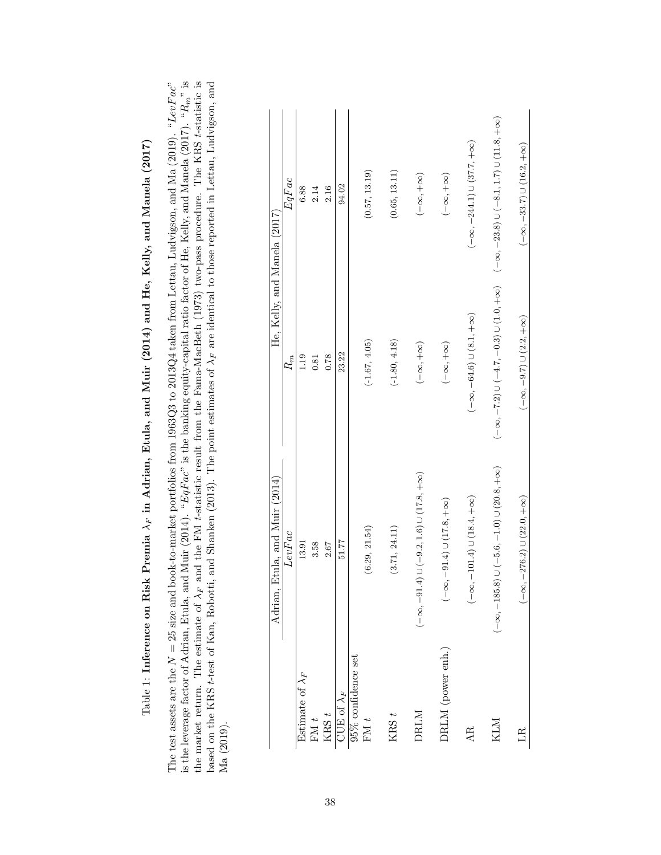|                                        | Adrian, Etula, and Muir (2014)                             | He, Kelly, and Manela (2017)                            |                                                          |
|----------------------------------------|------------------------------------------------------------|---------------------------------------------------------|----------------------------------------------------------|
|                                        | LevFac                                                     | $R_m$                                                   | EqFac                                                    |
| Estimate of $\lambda_F$                | 13.91                                                      | 1.19                                                    | 6.88                                                     |
| FM $t$                                 | 3.58                                                       | 0.81                                                    | 2.14                                                     |
| KRS $t$                                | 2.67                                                       | 0.78                                                    | 2.16                                                     |
| $\overline{\text{JUE}}$ of $\lambda_F$ | 51.77                                                      | 23.22                                                   | 94.02                                                    |
| $95\%$ confidence set<br>FM $t$        | (6.29, 21.54)                                              | $(-1.67, 4.05)$                                         | (0.57, 13.19)                                            |
| $KRS t$                                | (3.71, 24.11)                                              | $(-1.80, 4.18)$                                         | (0.65, 13.11)                                            |
| DRLM                                   | $(-\infty, -91.4) \cup (-9.2, 1.6) \cup (17.8, +\infty)$   | $(-\infty, +\infty)$                                    | $(-\infty, +\infty)$                                     |
| DRLM (power enh.)                      | $-91.4) \cup (17.8, +\infty)$<br>$(-8,$                    | $(-\infty, +\infty)$                                    | $(-\infty, +\infty)$                                     |
| AR.                                    | $-101.4$ ) $\cup$ (18.4, + $\infty$ )<br>$(-\infty,$       | $(-\infty, -64.6) \cup (8.1, +\infty)$                  | $(-\infty, -244.1) \cup (37.7, +\infty)$                 |
| KLM                                    | $(-\infty, -185.8) \cup (-5.6, -1.0) \cup (20.8, +\infty)$ | $(-\infty, -7.2) \cup (-4.7, -0.3) \cup (1.0, +\infty)$ | $(-\infty, -23.8) \cup (-8.1, 1.7) \cup (11.8, +\infty)$ |
| $_{\rm IR}$                            | $-276.2) \cup (22.0, +\infty)$<br>$(-\infty,$              | $(-\infty, -9.7) \cup (2.2, +\infty)$                   | $(-\infty, -33.7) \cup (16.2, +\infty)$                  |

The test assets are the  $N = 25$  size and book-to-market portfolios from 1963Q3 to 2013Q4 taken from Lettau, Ludvigson, and Ma (2019). "LevFac"<br>is the leverage factor of Adrian, Etula, and Muir (2014). "EqFac" is the banki The test assets are the N = 25 size and book-to-market portfolios from 1963Q3 to 2013Q4 taken from Lettau, Ludvigson, and Ma (2019). "LevF ac"<br>Letter in the contract of the matrix of the state and matrix and matrix active Table 1: Inference on Risk Premia  $\lambda_F$  in Adrian, Etula, and Muir (2014) and He, Kelly, and Manela (2017) Table 1: Inference on Risk Premia  $\lambda_F$  in Adrian, Etula, and Muir (2014) and He, Kelly, and Manela (2017)

is the leverage factor of Adrian, Etula, and Muir (2014). "EqFac" is the banking equity-capital ratio factor of He, Kelly, and Manela (2017). "R<sub>m</sub>" is the market return. The estimate of  $\lambda_F$  and the FM t-statistic result from the Fama-MacBeth (1973) two-pass procedure. The KRS t-statistic is  $\lambda_{\text{cond}}$  and the FM t-statistic result from the Fama-MacBeth (1973) two-pass based on the KRS t-test of Kan, Robotti, and Shanken (2013). The point estimates of  $\lambda_F$  are identical to those reported in Lettau, Ludvigson, and

based on the KRS t-test of Kan, Robotti, and Shanken (2013). The point estimates of  $\lambda_F$  are identical to those reported in Lettau, Ludvigson, and

Ma (2019).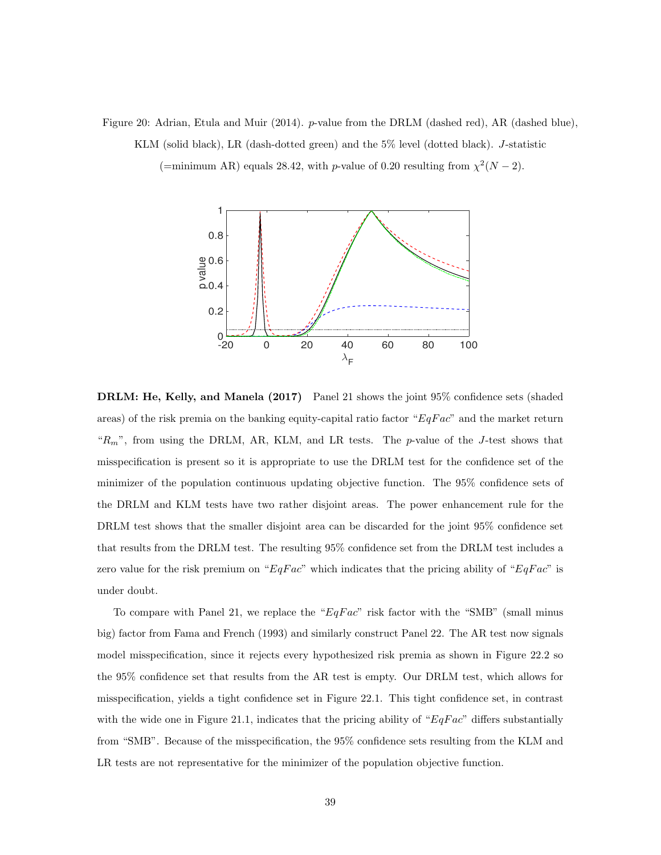Figure 20: Adrian, Etula and Muir (2014). p-value from the DRLM (dashed red), AR (dashed blue), KLM (solid black), LR (dash-dotted green) and the 5% level (dotted black). J-statistic

(=minimum AR) equals 28.42, with p-value of 0.20 resulting from  $\chi^2(N-2)$ .



DRLM: He, Kelly, and Manela (2017) Panel 21 shows the joint 95% confidence sets (shaded areas) of the risk premia on the banking equity-capital ratio factor " $EqFac$ " and the market return " $R_m$ ", from using the DRLM, AR, KLM, and LR tests. The p-value of the J-test shows that misspecification is present so it is appropriate to use the DRLM test for the confidence set of the minimizer of the population continuous updating objective function. The 95% confidence sets of the DRLM and KLM tests have two rather disjoint areas. The power enhancement rule for the DRLM test shows that the smaller disjoint area can be discarded for the joint 95% confidence set that results from the DRLM test. The resulting 95% confidence set from the DRLM test includes a zero value for the risk premium on " $EqFac$ " which indicates that the pricing ability of " $EqFac$ " is under doubt.

To compare with Panel 21, we replace the " $EqFac$ " risk factor with the "SMB" (small minus big) factor from Fama and French (1993) and similarly construct Panel 22. The AR test now signals model misspecification, since it rejects every hypothesized risk premia as shown in Figure 22.2 so the 95% confidence set that results from the AR test is empty. Our DRLM test, which allows for misspecification, yields a tight confidence set in Figure 22.1. This tight confidence set, in contrast with the wide one in Figure 21.1, indicates that the pricing ability of " $EqFac$ " differs substantially from "SMB". Because of the misspecification, the 95% confidence sets resulting from the KLM and LR tests are not representative for the minimizer of the population objective function.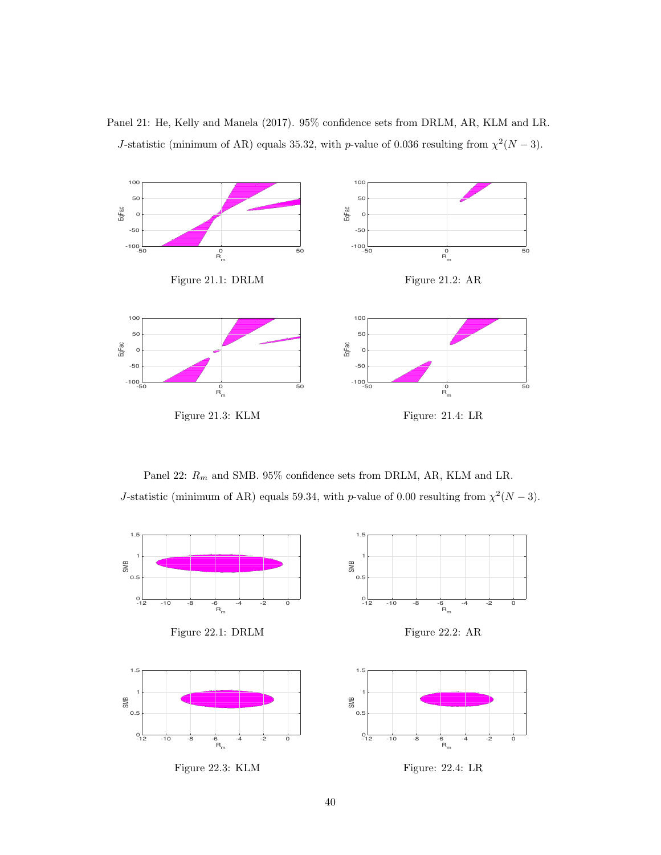Panel 21: He, Kelly and Manela (2017). 95% confidence sets from DRLM, AR, KLM and LR. J-statistic (minimum of AR) equals 35.32, with p-value of 0.036 resulting from  $\chi^2(N-3)$ .



Panel 22:  $R_m$  and SMB. 95% confidence sets from DRLM, AR, KLM and LR. J-statistic (minimum of AR) equals 59.34, with p-value of 0.00 resulting from  $\chi^2(N-3)$ .



Figure 22.3: KLM Figure: 22.4: LR

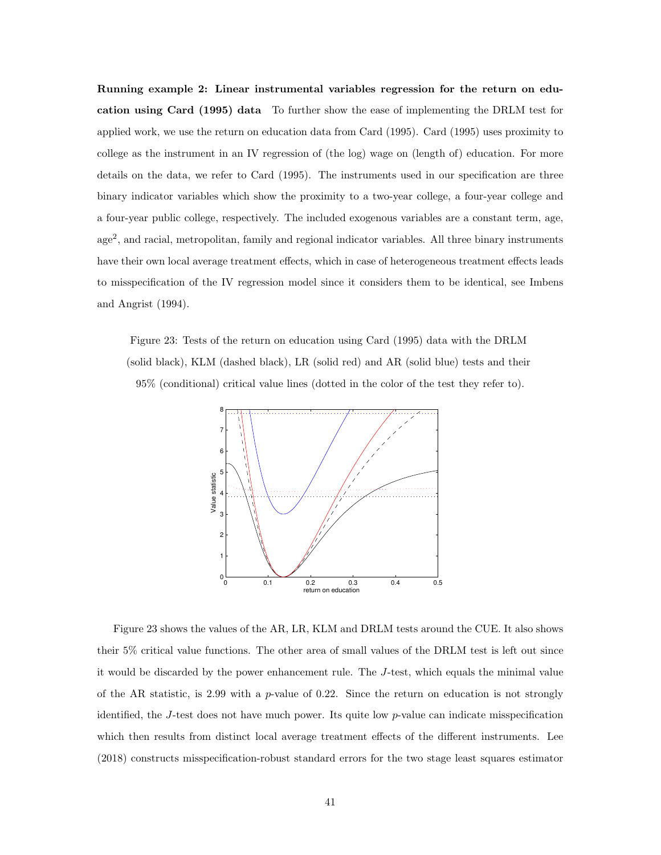Running example 2: Linear instrumental variables regression for the return on education using Card (1995) data To further show the ease of implementing the DRLM test for applied work, we use the return on education data from Card (1995). Card (1995) uses proximity to college as the instrument in an IV regression of (the log) wage on (length of) education. For more details on the data, we refer to Card (1995). The instruments used in our specification are three binary indicator variables which show the proximity to a two-year college, a four-year college and a four-year public college, respectively. The included exogenous variables are a constant term, age, age<sup>2</sup>, and racial, metropolitan, family and regional indicator variables. All three binary instruments have their own local average treatment effects, which in case of heterogeneous treatment effects leads to misspecification of the IV regression model since it considers them to be identical, see Imbens and Angrist (1994).

Figure 23: Tests of the return on education using Card (1995) data with the DRLM (solid black), KLM (dashed black), LR (solid red) and AR (solid blue) tests and their 95% (conditional) critical value lines (dotted in the color of the test they refer to).



Figure 23 shows the values of the AR, LR, KLM and DRLM tests around the CUE. It also shows their 5% critical value functions. The other area of small values of the DRLM test is left out since it would be discarded by the power enhancement rule. The J-test, which equals the minimal value of the AR statistic, is 2.99 with a  $p$ -value of 0.22. Since the return on education is not strongly identified, the J-test does not have much power. Its quite low  $p$ -value can indicate misspecification which then results from distinct local average treatment effects of the different instruments. Lee (2018) constructs misspecification-robust standard errors for the two stage least squares estimator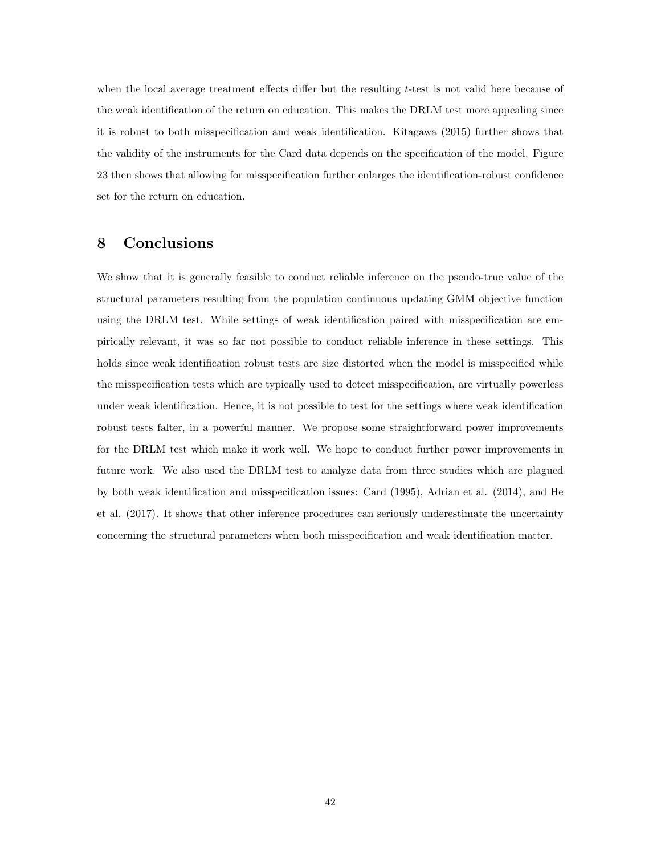when the local average treatment effects differ but the resulting t-test is not valid here because of the weak identification of the return on education. This makes the DRLM test more appealing since it is robust to both misspecification and weak identification. Kitagawa (2015) further shows that the validity of the instruments for the Card data depends on the specification of the model. Figure 23 then shows that allowing for misspecification further enlarges the identification-robust confidence set for the return on education.

### 8 Conclusions

We show that it is generally feasible to conduct reliable inference on the pseudo-true value of the structural parameters resulting from the population continuous updating GMM objective function using the DRLM test. While settings of weak identification paired with misspecification are empirically relevant, it was so far not possible to conduct reliable inference in these settings. This holds since weak identification robust tests are size distorted when the model is misspecified while the misspecification tests which are typically used to detect misspecification, are virtually powerless under weak identification. Hence, it is not possible to test for the settings where weak identification robust tests falter, in a powerful manner. We propose some straightforward power improvements for the DRLM test which make it work well. We hope to conduct further power improvements in future work. We also used the DRLM test to analyze data from three studies which are plagued by both weak identification and misspecification issues: Card (1995), Adrian et al. (2014), and He et al. (2017). It shows that other inference procedures can seriously underestimate the uncertainty concerning the structural parameters when both misspecification and weak identification matter.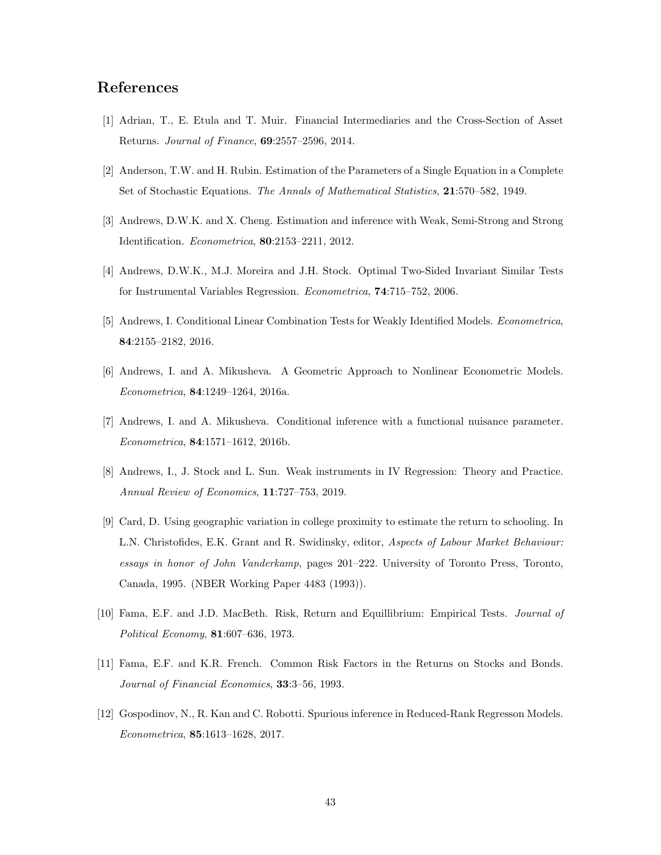### References

- [1] Adrian, T., E. Etula and T. Muir. Financial Intermediaries and the Cross-Section of Asset Returns. Journal of Finance, 69:2557–2596, 2014.
- [2] Anderson, T.W. and H. Rubin. Estimation of the Parameters of a Single Equation in a Complete Set of Stochastic Equations. The Annals of Mathematical Statistics, 21:570–582, 1949.
- [3] Andrews, D.W.K. and X. Cheng. Estimation and inference with Weak, Semi-Strong and Strong Identification. Econometrica, 80:2153–2211, 2012.
- [4] Andrews, D.W.K., M.J. Moreira and J.H. Stock. Optimal Two-Sided Invariant Similar Tests for Instrumental Variables Regression. Econometrica, 74:715–752, 2006.
- [5] Andrews, I. Conditional Linear Combination Tests for Weakly Identified Models. Econometrica, 84:2155–2182, 2016.
- [6] Andrews, I. and A. Mikusheva. A Geometric Approach to Nonlinear Econometric Models. Econometrica, 84:1249–1264, 2016a.
- [7] Andrews, I. and A. Mikusheva. Conditional inference with a functional nuisance parameter. Econometrica, 84:1571–1612, 2016b.
- [8] Andrews, I., J. Stock and L. Sun. Weak instruments in IV Regression: Theory and Practice. Annual Review of Economics, 11:727–753, 2019.
- [9] Card, D. Using geographic variation in college proximity to estimate the return to schooling. In L.N. Christofides, E.K. Grant and R. Swidinsky, editor, Aspects of Labour Market Behaviour: essays in honor of John Vanderkamp, pages 201–222. University of Toronto Press, Toronto, Canada, 1995. (NBER Working Paper 4483 (1993)).
- [10] Fama, E.F. and J.D. MacBeth. Risk, Return and Equillibrium: Empirical Tests. Journal of Political Economy, 81:607–636, 1973.
- [11] Fama, E.F. and K.R. French. Common Risk Factors in the Returns on Stocks and Bonds. Journal of Financial Economics, 33:3–56, 1993.
- [12] Gospodinov, N., R. Kan and C. Robotti. Spurious inference in Reduced-Rank Regresson Models. Econometrica, 85:1613–1628, 2017.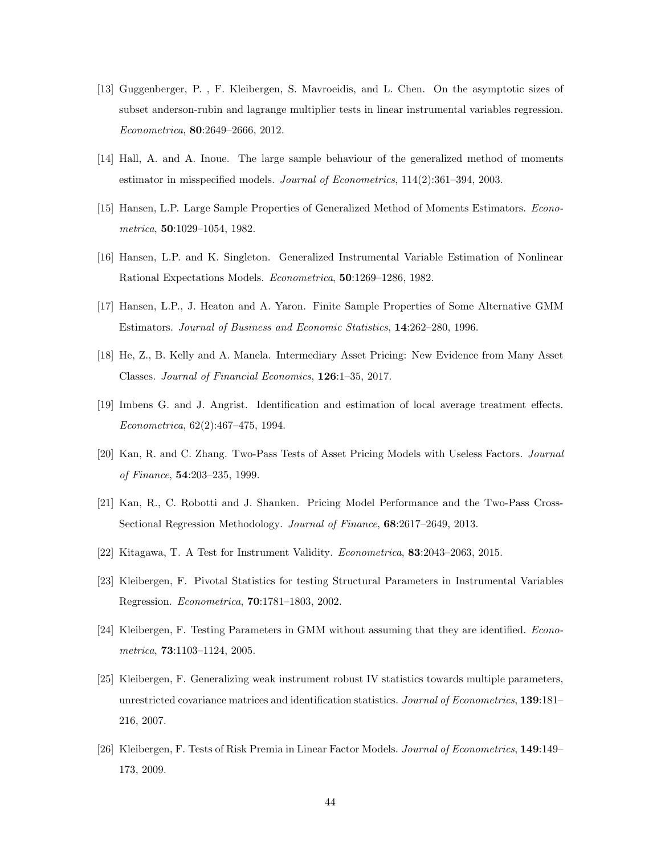- [13] Guggenberger, P. , F. Kleibergen, S. Mavroeidis, and L. Chen. On the asymptotic sizes of subset anderson-rubin and lagrange multiplier tests in linear instrumental variables regression. Econometrica, 80:2649–2666, 2012.
- [14] Hall, A. and A. Inoue. The large sample behaviour of the generalized method of moments estimator in misspecified models. Journal of Econometrics, 114(2):361–394, 2003.
- [15] Hansen, L.P. Large Sample Properties of Generalized Method of Moments Estimators. Econometrica, 50:1029–1054, 1982.
- [16] Hansen, L.P. and K. Singleton. Generalized Instrumental Variable Estimation of Nonlinear Rational Expectations Models. Econometrica, 50:1269–1286, 1982.
- [17] Hansen, L.P., J. Heaton and A. Yaron. Finite Sample Properties of Some Alternative GMM Estimators. Journal of Business and Economic Statistics, 14:262–280, 1996.
- [18] He, Z., B. Kelly and A. Manela. Intermediary Asset Pricing: New Evidence from Many Asset Classes. Journal of Financial Economics, 126:1–35, 2017.
- [19] Imbens G. and J. Angrist. Identification and estimation of local average treatment effects. Econometrica, 62(2):467–475, 1994.
- [20] Kan, R. and C. Zhang. Two-Pass Tests of Asset Pricing Models with Useless Factors. Journal of Finance, 54:203–235, 1999.
- [21] Kan, R., C. Robotti and J. Shanken. Pricing Model Performance and the Two-Pass Cross-Sectional Regression Methodology. Journal of Finance, 68:2617–2649, 2013.
- [22] Kitagawa, T. A Test for Instrument Validity. Econometrica, 83:2043–2063, 2015.
- [23] Kleibergen, F. Pivotal Statistics for testing Structural Parameters in Instrumental Variables Regression. Econometrica, 70:1781–1803, 2002.
- [24] Kleibergen, F. Testing Parameters in GMM without assuming that they are identified. Econometrica, 73:1103–1124, 2005.
- [25] Kleibergen, F. Generalizing weak instrument robust IV statistics towards multiple parameters, unrestricted covariance matrices and identification statistics. Journal of Econometrics, 139:181– 216, 2007.
- [26] Kleibergen, F. Tests of Risk Premia in Linear Factor Models. Journal of Econometrics, 149:149– 173, 2009.